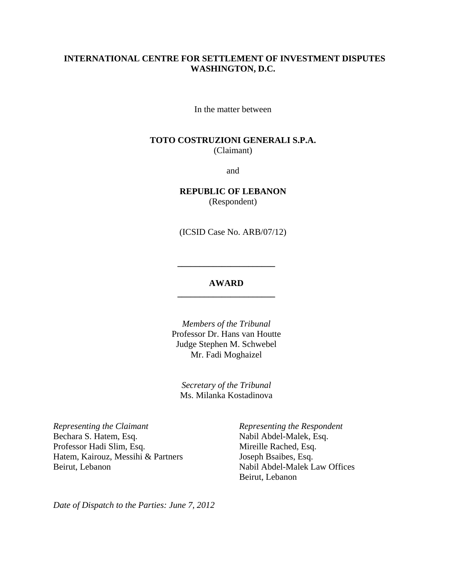#### **INTERNATIONAL CENTRE FOR SETTLEMENT OF INVESTMENT DISPUTES WASHINGTON, D.C.**

In the matter between

#### **TOTO COSTRUZIONI GENERALI S.P.A.**  (Claimant)

and

**REPUBLIC OF LEBANON**  (Respondent)

(ICSID Case No. ARB/07/12)

#### **AWARD \_\_\_\_\_\_\_\_\_\_\_\_\_\_\_\_\_\_\_\_\_\_**

**\_\_\_\_\_\_\_\_\_\_\_\_\_\_\_\_\_\_\_\_\_\_** 

*Members of the Tribunal*  Professor Dr. Hans van Houtte Judge Stephen M. Schwebel Mr. Fadi Moghaizel

*Secretary of the Tribunal* Ms. Milanka Kostadinova

*Representing the Claimant*  Bechara S. Hatem, Esq. Professor Hadi Slim, Esq. Hatem, Kairouz, Messihi & Partners Beirut, Lebanon

 *Representing the Respondent*  Nabil Abdel-Malek, Esq. Mireille Rached, Esq. Joseph Bsaibes, Esq. Nabil Abdel-Malek Law Offices Beirut, Lebanon

*Date of Dispatch to the Parties: June 7, 2012*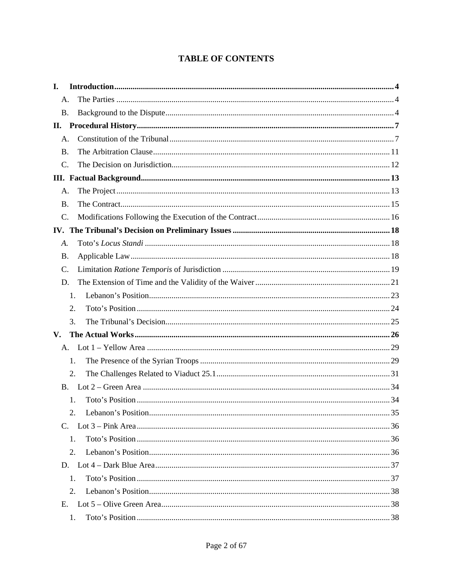# **TABLE OF CONTENTS**

| I.        |    |  |
|-----------|----|--|
| A.        |    |  |
| <b>B.</b> |    |  |
|           |    |  |
| A.        |    |  |
| <b>B.</b> |    |  |
| C.        |    |  |
|           |    |  |
| A.        |    |  |
| <b>B.</b> |    |  |
| $C$ .     |    |  |
|           |    |  |
| A.        |    |  |
| <b>B.</b> |    |  |
| C.        |    |  |
| D.        |    |  |
|           | 1. |  |
|           | 2. |  |
|           | 3. |  |
| V.        |    |  |
|           |    |  |
|           | 1. |  |
|           | 2. |  |
| <b>B.</b> |    |  |
|           | 1. |  |
|           |    |  |
|           |    |  |
|           | 1. |  |
|           | 2. |  |
|           |    |  |
|           | 1. |  |
|           | 2. |  |
| E.        |    |  |
|           | 1. |  |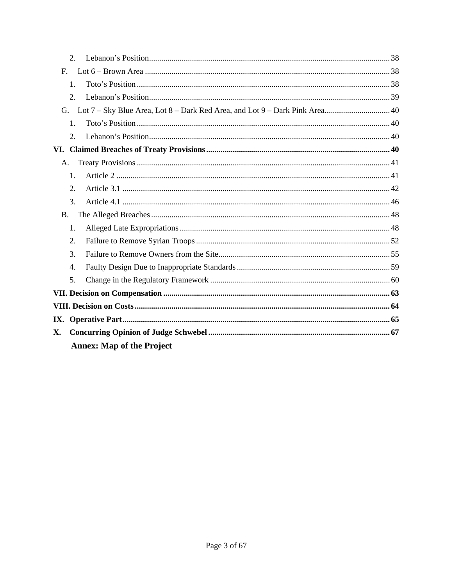|                | $\overline{2}$ . |                                  |  |  |  |  |
|----------------|------------------|----------------------------------|--|--|--|--|
| F <sub>r</sub> |                  |                                  |  |  |  |  |
|                | 1.               |                                  |  |  |  |  |
|                | 2.               |                                  |  |  |  |  |
| G.             |                  |                                  |  |  |  |  |
|                | 1.               |                                  |  |  |  |  |
|                | $\overline{2}$ . |                                  |  |  |  |  |
|                |                  |                                  |  |  |  |  |
|                | A.               |                                  |  |  |  |  |
|                | $\mathbf{1}$ .   |                                  |  |  |  |  |
|                | 2.               |                                  |  |  |  |  |
|                | 3.               |                                  |  |  |  |  |
| <b>B.</b>      |                  |                                  |  |  |  |  |
|                | 1.               |                                  |  |  |  |  |
|                | 2.               |                                  |  |  |  |  |
|                | 3.               |                                  |  |  |  |  |
|                | 4.               |                                  |  |  |  |  |
|                | 5.               |                                  |  |  |  |  |
|                |                  |                                  |  |  |  |  |
|                |                  |                                  |  |  |  |  |
|                |                  |                                  |  |  |  |  |
|                |                  |                                  |  |  |  |  |
|                |                  | <b>Annex: Map of the Project</b> |  |  |  |  |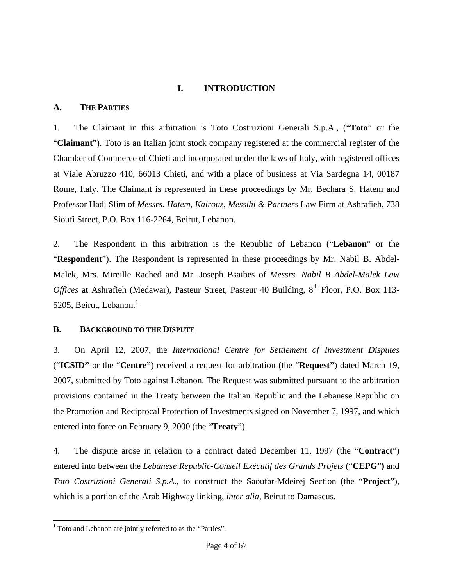# **I. INTRODUCTION**

# **A. THE PARTIES**

1. The Claimant in this arbitration is Toto Costruzioni Generali S.p.A., ("**Toto**" or the "**Claimant**"). Toto is an Italian joint stock company registered at the commercial register of the Chamber of Commerce of Chieti and incorporated under the laws of Italy, with registered offices at Viale Abruzzo 410, 66013 Chieti, and with a place of business at Via Sardegna 14, 00187 Rome, Italy. The Claimant is represented in these proceedings by Mr. Bechara S. Hatem and Professor Hadi Slim of *Messrs. Hatem, Kairouz, Messihi & Partners* Law Firm at Ashrafieh, 738 Sioufi Street, P.O. Box 116-2264, Beirut, Lebanon.

2. The Respondent in this arbitration is the Republic of Lebanon ("**Lebanon**" or the "**Respondent**"). The Respondent is represented in these proceedings by Mr. Nabil B. Abdel-Malek, Mrs. Mireille Rached and Mr. Joseph Bsaibes of *Messrs. Nabil B Abdel-Malek Law Offices* at Ashrafieh (Medawar), Pasteur Street, Pasteur 40 Building, 8<sup>th</sup> Floor, P.O. Box 113-5205, Beirut, Lebanon.<sup>1</sup>

# **B. BACKGROUND TO THE DISPUTE**

3. On April 12, 2007, the *International Centre for Settlement of Investment Disputes* ("**ICSID"** or the "**Centre"**) received a request for arbitration (the "**Request"**) dated March 19, 2007, submitted by Toto against Lebanon. The Request was submitted pursuant to the arbitration provisions contained in the Treaty between the Italian Republic and the Lebanese Republic on the Promotion and Reciprocal Protection of Investments signed on November 7, 1997, and which entered into force on February 9, 2000 (the "**Treaty**").

4. The dispute arose in relation to a contract dated December 11, 1997 (the "**Contract**") entered into between the *Lebanese Republic*-*Conseil Exécutif des Grands Projets* ("**CEPG**"**)** and *Toto Costruzioni Generali S.p.A.,* to construct the Saoufar-Mdeirej Section (the "**Project**"), which is a portion of the Arab Highway linking, *inter alia,* Beirut to Damascus.

l <sup>1</sup> Toto and Lebanon are jointly referred to as the "Parties".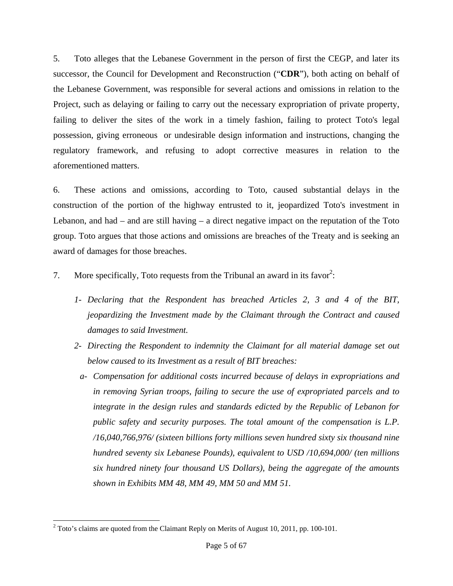5. Toto alleges that the Lebanese Government in the person of first the CEGP, and later its successor, the Council for Development and Reconstruction ("**CDR**"), both acting on behalf of the Lebanese Government, was responsible for several actions and omissions in relation to the Project, such as delaying or failing to carry out the necessary expropriation of private property, failing to deliver the sites of the work in a timely fashion, failing to protect Toto's legal possession, giving erroneous or undesirable design information and instructions, changing the regulatory framework, and refusing to adopt corrective measures in relation to the aforementioned matters.

6. These actions and omissions, according to Toto, caused substantial delays in the construction of the portion of the highway entrusted to it, jeopardized Toto's investment in Lebanon, and had  $-$  and are still having  $-$  a direct negative impact on the reputation of the Toto group. Toto argues that those actions and omissions are breaches of the Treaty and is seeking an award of damages for those breaches.

- 7. More specifically, Toto requests from the Tribunal an award in its favor<sup>2</sup>:
	- *1- Declaring that the Respondent has breached Articles 2, 3 and 4 of the BIT, jeopardizing the Investment made by the Claimant through the Contract and caused damages to said Investment.*
	- *2- Directing the Respondent to indemnity the Claimant for all material damage set out below caused to its Investment as a result of BIT breaches:* 
		- *a- Compensation for additional costs incurred because of delays in expropriations and in removing Syrian troops, failing to secure the use of expropriated parcels and to integrate in the design rules and standards edicted by the Republic of Lebanon for public safety and security purposes. The total amount of the compensation is L.P. /16,040,766,976/ (sixteen billions forty millions seven hundred sixty six thousand nine hundred seventy six Lebanese Pounds), equivalent to USD /10,694,000/ (ten millions six hundred ninety four thousand US Dollars), being the aggregate of the amounts shown in Exhibits MM 48, MM 49, MM 50 and MM 51.*

l  $2^2$  Toto's claims are quoted from the Claimant Reply on Merits of August 10, 2011, pp. 100-101.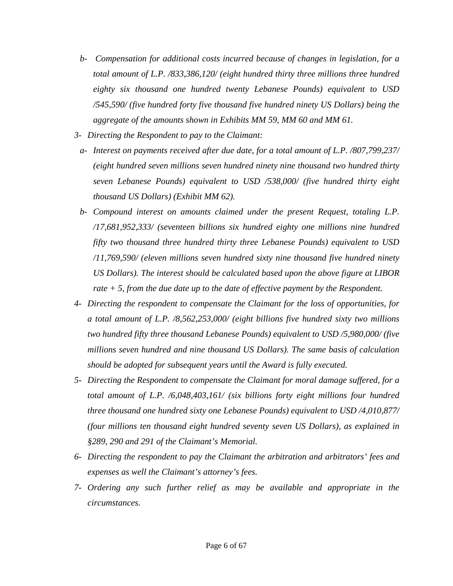- *b- Compensation for additional costs incurred because of changes in legislation, for a total amount of L.P. /833,386,120/ (eight hundred thirty three millions three hundred eighty six thousand one hundred twenty Lebanese Pounds) equivalent to USD /545,590/ (five hundred forty five thousand five hundred ninety US Dollars) being the aggregate of the amounts shown in Exhibits MM 59, MM 60 and MM 61.*
- *3- Directing the Respondent to pay to the Claimant:* 
	- *a- Interest on payments received after due date, for a total amount of L.P. /807,799,237/ (eight hundred seven millions seven hundred ninety nine thousand two hundred thirty seven Lebanese Pounds) equivalent to USD /538,000/ (five hundred thirty eight thousand US Dollars) (Exhibit MM 62).*
	- *b- Compound interest on amounts claimed under the present Request, totaling L.P. /17,681,952,333/ (seventeen billions six hundred eighty one millions nine hundred fifty two thousand three hundred thirty three Lebanese Pounds) equivalent to USD /11,769,590/ (eleven millions seven hundred sixty nine thousand five hundred ninety US Dollars). The interest should be calculated based upon the above figure at LIBOR rate + 5, from the due date up to the date of effective payment by the Respondent.*
- *4- Directing the respondent to compensate the Claimant for the loss of opportunities, for a total amount of L.P. /8,562,253,000/ (eight billions five hundred sixty two millions two hundred fifty three thousand Lebanese Pounds) equivalent to USD /5,980,000/ (five millions seven hundred and nine thousand US Dollars). The same basis of calculation should be adopted for subsequent years until the Award is fully executed.*
- *5- Directing the Respondent to compensate the Claimant for moral damage suffered, for a total amount of L.P. /6,048,403,161/ (six billions forty eight millions four hundred three thousand one hundred sixty one Lebanese Pounds) equivalent to USD /4,010,877/ (four millions ten thousand eight hundred seventy seven US Dollars), as explained in §289, 290 and 291 of the Claimant's Memorial.*
- *6- Directing the respondent to pay the Claimant the arbitration and arbitrators' fees and expenses as well the Claimant's attorney's fees.*
- *7- Ordering any such further relief as may be available and appropriate in the circumstances.*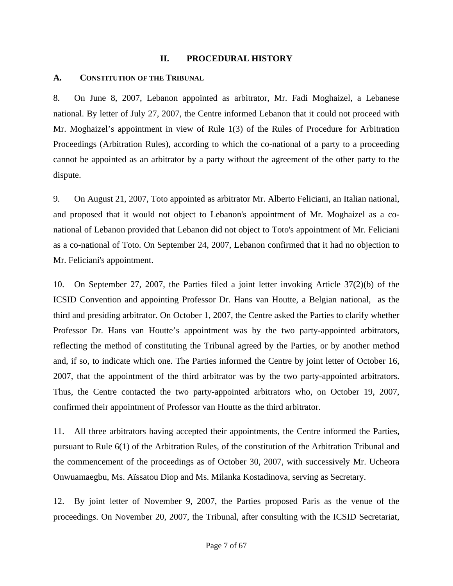#### **II. PROCEDURAL HISTORY**

#### **A. CONSTITUTION OF THE TRIBUNAL**

8. On June 8, 2007, Lebanon appointed as arbitrator, Mr. Fadi Moghaizel, a Lebanese national. By letter of July 27, 2007, the Centre informed Lebanon that it could not proceed with Mr. Moghaizel's appointment in view of Rule 1(3) of the Rules of Procedure for Arbitration Proceedings (Arbitration Rules), according to which the co-national of a party to a proceeding cannot be appointed as an arbitrator by a party without the agreement of the other party to the dispute.

9. On August 21, 2007, Toto appointed as arbitrator Mr. Alberto Feliciani, an Italian national, and proposed that it would not object to Lebanon's appointment of Mr. Moghaizel as a conational of Lebanon provided that Lebanon did not object to Toto's appointment of Mr. Feliciani as a co-national of Toto. On September 24, 2007, Lebanon confirmed that it had no objection to Mr. Feliciani's appointment.

10. On September 27, 2007, the Parties filed a joint letter invoking Article 37(2)(b) of the ICSID Convention and appointing Professor Dr. Hans van Houtte, a Belgian national, as the third and presiding arbitrator. On October 1, 2007, the Centre asked the Parties to clarify whether Professor Dr. Hans van Houtte's appointment was by the two party-appointed arbitrators, reflecting the method of constituting the Tribunal agreed by the Parties, or by another method and, if so, to indicate which one. The Parties informed the Centre by joint letter of October 16, 2007, that the appointment of the third arbitrator was by the two party-appointed arbitrators. Thus, the Centre contacted the two party-appointed arbitrators who, on October 19, 2007, confirmed their appointment of Professor van Houtte as the third arbitrator.

11. All three arbitrators having accepted their appointments, the Centre informed the Parties, pursuant to Rule 6(1) of the Arbitration Rules, of the constitution of the Arbitration Tribunal and the commencement of the proceedings as of October 30, 2007, with successively Mr. Ucheora Onwuamaegbu, Ms. Aïssatou Diop and Ms. Milanka Kostadinova, serving as Secretary.

12. By joint letter of November 9, 2007, the Parties proposed Paris as the venue of the proceedings. On November 20, 2007, the Tribunal, after consulting with the ICSID Secretariat,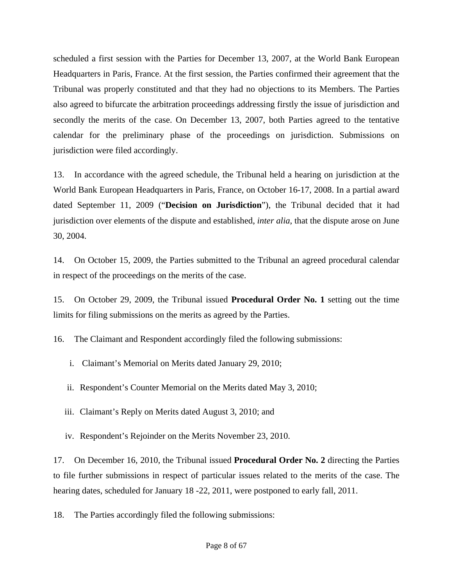scheduled a first session with the Parties for December 13, 2007, at the World Bank European Headquarters in Paris, France. At the first session, the Parties confirmed their agreement that the Tribunal was properly constituted and that they had no objections to its Members. The Parties also agreed to bifurcate the arbitration proceedings addressing firstly the issue of jurisdiction and secondly the merits of the case. On December 13, 2007, both Parties agreed to the tentative calendar for the preliminary phase of the proceedings on jurisdiction. Submissions on jurisdiction were filed accordingly.

13. In accordance with the agreed schedule, the Tribunal held a hearing on jurisdiction at the World Bank European Headquarters in Paris, France, on October 16-17, 2008. In a partial award dated September 11, 2009 ("**Decision on Jurisdiction**"), the Tribunal decided that it had jurisdiction over elements of the dispute and established, *inter alia*, that the dispute arose on June 30, 2004.

14. On October 15, 2009, the Parties submitted to the Tribunal an agreed procedural calendar in respect of the proceedings on the merits of the case.

15. On October 29, 2009, the Tribunal issued **Procedural Order No. 1** setting out the time limits for filing submissions on the merits as agreed by the Parties.

16. The Claimant and Respondent accordingly filed the following submissions:

- i. Claimant's Memorial on Merits dated January 29, 2010;
- ii. Respondent's Counter Memorial on the Merits dated May 3, 2010;
- iii. Claimant's Reply on Merits dated August 3, 2010; and
- iv. Respondent's Rejoinder on the Merits November 23, 2010.

17. On December 16, 2010, the Tribunal issued **Procedural Order No. 2** directing the Parties to file further submissions in respect of particular issues related to the merits of the case. The hearing dates, scheduled for January 18 -22, 2011, were postponed to early fall, 2011.

18. The Parties accordingly filed the following submissions: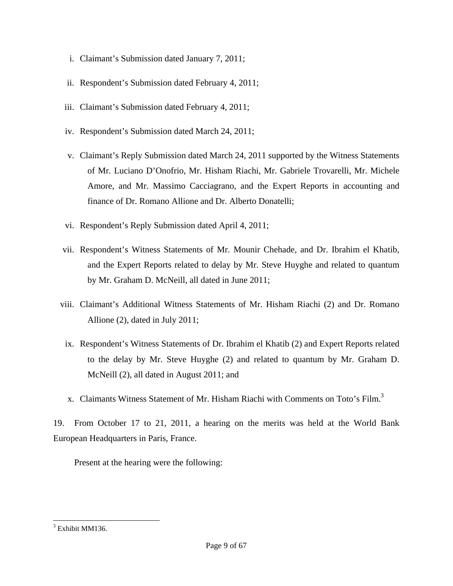- i. Claimant's Submission dated January 7, 2011;
- ii. Respondent's Submission dated February 4, 2011;
- iii. Claimant's Submission dated February 4, 2011;
- iv. Respondent's Submission dated March 24, 2011;
- v. Claimant's Reply Submission dated March 24, 2011 supported by the Witness Statements of Mr. Luciano D'Onofrio, Mr. Hisham Riachi, Mr. Gabriele Trovarelli, Mr. Michele Amore, and Mr. Massimo Cacciagrano, and the Expert Reports in accounting and finance of Dr. Romano Allione and Dr. Alberto Donatelli;
- vi. Respondent's Reply Submission dated April 4, 2011;
- vii. Respondent's Witness Statements of Mr. Mounir Chehade, and Dr. Ibrahim el Khatib, and the Expert Reports related to delay by Mr. Steve Huyghe and related to quantum by Mr. Graham D. McNeill, all dated in June 2011;
- viii. Claimant's Additional Witness Statements of Mr. Hisham Riachi (2) and Dr. Romano Allione (2), dated in July 2011;
- ix. Respondent's Witness Statements of Dr. Ibrahim el Khatib (2) and Expert Reports related to the delay by Mr. Steve Huyghe (2) and related to quantum by Mr. Graham D. McNeill (2), all dated in August 2011; and
- x. Claimants Witness Statement of Mr. Hisham Riachi with Comments on Toto's Film.<sup>3</sup>

19. From October 17 to 21, 2011, a hearing on the merits was held at the World Bank European Headquarters in Paris, France.

Present at the hearing were the following:

l <sup>3</sup> Exhibit MM136.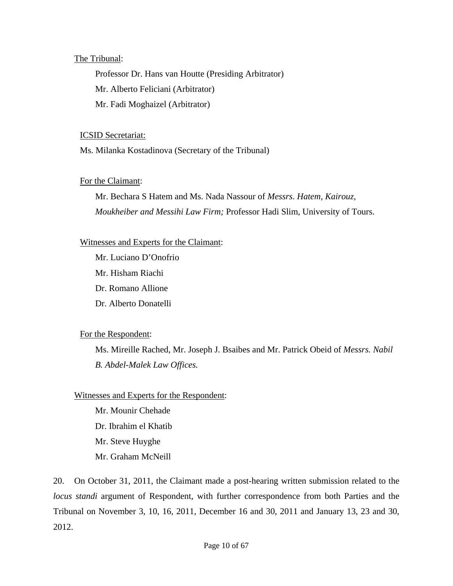#### The Tribunal:

Professor Dr. Hans van Houtte (Presiding Arbitrator) Mr. Alberto Feliciani (Arbitrator) Mr. Fadi Moghaizel (Arbitrator)

#### ICSID Secretariat:

Ms. Milanka Kostadinova (Secretary of the Tribunal)

# For the Claimant:

Mr. Bechara S Hatem and Ms. Nada Nassour of *Messrs. Hatem, Kairouz, Moukheiber and Messihi Law Firm;* Professor Hadi Slim, University of Tours.

# Witnesses and Experts for the Claimant:

Mr. Luciano D'Onofrio Mr. Hisham Riachi Dr. Romano Allione Dr. Alberto Donatelli

# For the Respondent:

Ms. Mireille Rached, Mr. Joseph J. Bsaibes and Mr. Patrick Obeid of *Messrs. Nabil B. Abdel-Malek Law Offices.* 

# Witnesses and Experts for the Respondent:

Mr. Mounir Chehade Dr. Ibrahim el Khatib Mr. Steve Huyghe Mr. Graham McNeill

20. On October 31, 2011, the Claimant made a post-hearing written submission related to the *locus standi* argument of Respondent, with further correspondence from both Parties and the Tribunal on November 3, 10, 16, 2011, December 16 and 30, 2011 and January 13, 23 and 30, 2012.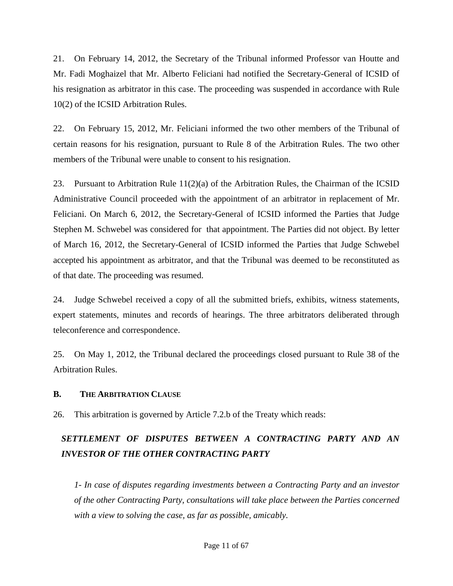21. On February 14, 2012, the Secretary of the Tribunal informed Professor van Houtte and Mr. Fadi Moghaizel that Mr. Alberto Feliciani had notified the Secretary-General of ICSID of his resignation as arbitrator in this case. The proceeding was suspended in accordance with Rule 10(2) of the ICSID Arbitration Rules.

22. On February 15, 2012, Mr. Feliciani informed the two other members of the Tribunal of certain reasons for his resignation, pursuant to Rule 8 of the Arbitration Rules. The two other members of the Tribunal were unable to consent to his resignation.

23. Pursuant to Arbitration Rule  $11(2)(a)$  of the Arbitration Rules, the Chairman of the ICSID Administrative Council proceeded with the appointment of an arbitrator in replacement of Mr. Feliciani. On March 6, 2012, the Secretary-General of ICSID informed the Parties that Judge Stephen M. Schwebel was considered for that appointment. The Parties did not object. By letter of March 16, 2012, the Secretary-General of ICSID informed the Parties that Judge Schwebel accepted his appointment as arbitrator, and that the Tribunal was deemed to be reconstituted as of that date. The proceeding was resumed.

24. Judge Schwebel received a copy of all the submitted briefs, exhibits, witness statements, expert statements, minutes and records of hearings. The three arbitrators deliberated through teleconference and correspondence.

25. On May 1, 2012, the Tribunal declared the proceedings closed pursuant to Rule 38 of the Arbitration Rules.

#### **B. THE ARBITRATION CLAUSE**

26. This arbitration is governed by Article 7.2.b of the Treaty which reads:

# *SETTLEMENT OF DISPUTES BETWEEN A CONTRACTING PARTY AND AN INVESTOR OF THE OTHER CONTRACTING PARTY*

*1- In case of disputes regarding investments between a Contracting Party and an investor of the other Contracting Party, consultations will take place between the Parties concerned with a view to solving the case, as far as possible, amicably.*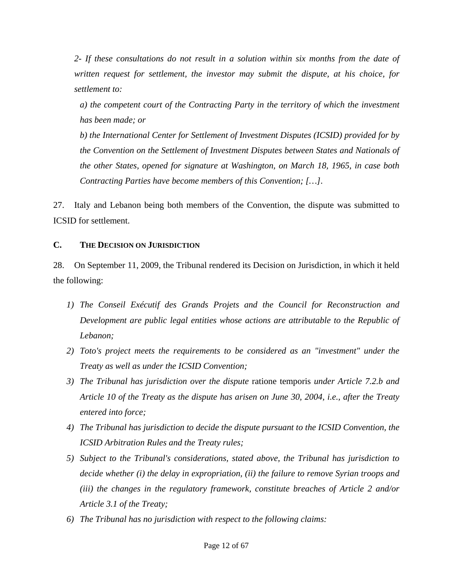*2- If these consultations do not result in a solution within six months from the date of written request for settlement, the investor may submit the dispute, at his choice, for settlement to:* 

*a) the competent court of the Contracting Party in the territory of which the investment has been made; or* 

*b) the International Center for Settlement of Investment Disputes (ICSID) provided for by the Convention on the Settlement of Investment Disputes between States and Nationals of the other States, opened for signature at Washington, on March 18, 1965, in case both Contracting Parties have become members of this Convention; […]*.

27. Italy and Lebanon being both members of the Convention, the dispute was submitted to ICSID for settlement.

# **C. THE DECISION ON JURISDICTION**

28. On September 11, 2009, the Tribunal rendered its Decision on Jurisdiction, in which it held the following:

- *1) The Conseil Exécutif des Grands Projets and the Council for Reconstruction and Development are public legal entities whose actions are attributable to the Republic of Lebanon;*
- *2) Toto's project meets the requirements to be considered as an "investment" under the Treaty as well as under the ICSID Convention;*
- *3) The Tribunal has jurisdiction over the dispute* ratione temporis *under Article 7.2.b and Article 10 of the Treaty as the dispute has arisen on June 30, 2004, i.e., after the Treaty entered into force;*
- *4) The Tribunal has jurisdiction to decide the dispute pursuant to the ICSID Convention, the ICSID Arbitration Rules and the Treaty rules;*
- *5) Subject to the Tribunal's considerations, stated above, the Tribunal has jurisdiction to decide whether (i) the delay in expropriation, (ii) the failure to remove Syrian troops and (iii) the changes in the regulatory framework, constitute breaches of Article 2 and/or Article 3.1 of the Treaty;*
- *6) The Tribunal has no jurisdiction with respect to the following claims:*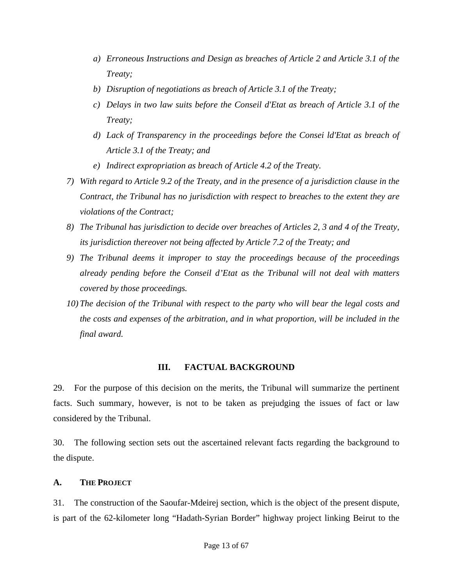- *a) Erroneous Instructions and Design as breaches of Article 2 and Article 3.1 of the Treaty;*
- *b) Disruption of negotiations as breach of Article 3.1 of the Treaty;*
- *c) Delays in two law suits before the Conseil d'Etat as breach of Article 3.1 of the Treaty;*
- *d) Lack of Transparency in the proceedings before the Consei ld'Etat as breach of Article 3.1 of the Treaty; and*
- *e) Indirect expropriation as breach of Article 4.2 of the Treaty.*
- *7) With regard to Article 9.2 of the Treaty, and in the presence of a jurisdiction clause in the Contract, the Tribunal has no jurisdiction with respect to breaches to the extent they are violations of the Contract;*
- *8) The Tribunal has jurisdiction to decide over breaches of Articles 2, 3 and 4 of the Treaty, its jurisdiction thereover not being affected by Article 7.2 of the Treaty; and*
- *9) The Tribunal deems it improper to stay the proceedings because of the proceedings already pending before the Conseil d'Etat as the Tribunal will not deal with matters covered by those proceedings.*
- *10) The decision of the Tribunal with respect to the party who will bear the legal costs and the costs and expenses of the arbitration, and in what proportion, will be included in the final award.*

# **III. FACTUAL BACKGROUND**

29. For the purpose of this decision on the merits, the Tribunal will summarize the pertinent facts. Such summary, however, is not to be taken as prejudging the issues of fact or law considered by the Tribunal.

30. The following section sets out the ascertained relevant facts regarding the background to the dispute.

# **A. THE PROJECT**

31. The construction of the Saoufar-Mdeirej section, which is the object of the present dispute, is part of the 62-kilometer long "Hadath-Syrian Border" highway project linking Beirut to the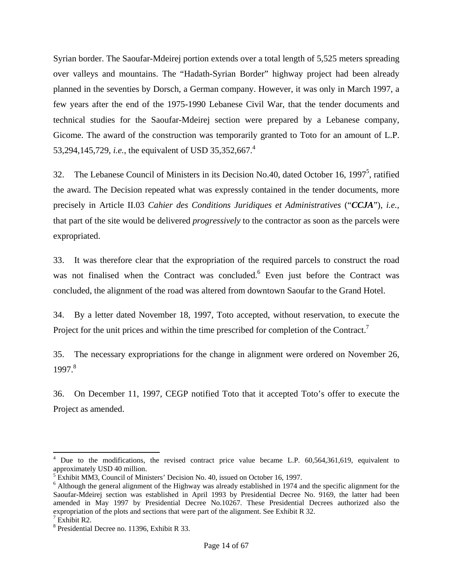Syrian border. The Saoufar-Mdeirej portion extends over a total length of 5,525 meters spreading over valleys and mountains. The "Hadath-Syrian Border" highway project had been already planned in the seventies by Dorsch, a German company. However, it was only in March 1997, a few years after the end of the 1975-1990 Lebanese Civil War, that the tender documents and technical studies for the Saoufar-Mdeirej section were prepared by a Lebanese company, Gicome. The award of the construction was temporarily granted to Toto for an amount of L.P. 53,294,145,729, *i.e.*, the equivalent of USD 35,352,667.<sup>4</sup>

32. The Lebanese Council of Ministers in its Decision No.40, dated October 16, 1997<sup>5</sup>, ratified the award. The Decision repeated what was expressly contained in the tender documents, more precisely in Article II.03 *Cahier des Conditions Juridiques et Administratives* ("*CCJA*"), *i.e.,* that part of the site would be delivered *progressively* to the contractor as soon as the parcels were expropriated.

33. It was therefore clear that the expropriation of the required parcels to construct the road was not finalised when the Contract was concluded.<sup>6</sup> Even just before the Contract was concluded, the alignment of the road was altered from downtown Saoufar to the Grand Hotel.

34. By a letter dated November 18, 1997, Toto accepted, without reservation, to execute the Project for the unit prices and within the time prescribed for completion of the Contract.<sup>7</sup>

35. The necessary expropriations for the change in alignment were ordered on November 26, 1997.<sup>8</sup>

36. On December 11, 1997, CEGP notified Toto that it accepted Toto's offer to execute the Project as amended.

<sup>4</sup> Due to the modifications, the revised contract price value became L.P. 60,564,361,619, equivalent to approximately USD 40 million.

 $5$  Exhibit MM3, Council of Ministers' Decision No. 40, issued on October 16, 1997.

<sup>&</sup>lt;sup>6</sup> Although the general alignment of the Highway was already established in 1974 and the specific alignment for the Saoufar-Mdeirej section was established in April 1993 by Presidential Decree No. 9169, the latter had been amended in May 1997 by Presidential Decree No.10267. These Presidential Decrees authorized also the expropriation of the plots and sections that were part of the alignment. See Exhibit R 32.

<sup>7</sup> Exhibit R2.

<sup>8</sup> Presidential Decree no. 11396, Exhibit R 33.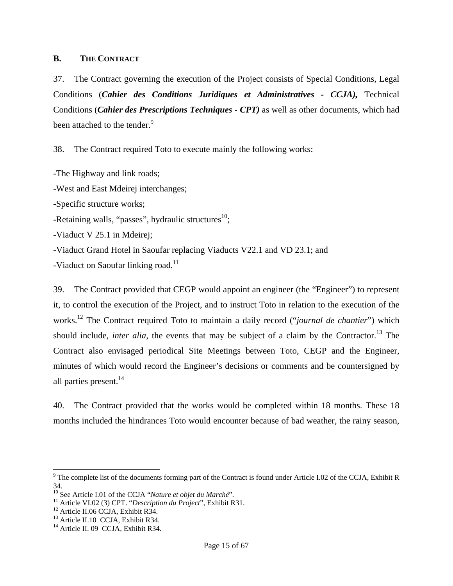#### **B. THE CONTRACT**

37. The Contract governing the execution of the Project consists of Special Conditions, Legal Conditions (*Cahier des Conditions Juridiques et Administratives - CCJA),* Technical Conditions (*Cahier des Prescriptions Techniques - CPT)* as well as other documents, which had been attached to the tender.<sup>9</sup>

38. The Contract required Toto to execute mainly the following works:

-The Highway and link roads;

-West and East Mdeirej interchanges;

-Specific structure works;

-Retaining walls, "passes", hydraulic structures $^{10}$ ;

-Viaduct V 25.1 in Mdeirej;

-Viaduct Grand Hotel in Saoufar replacing Viaducts V22.1 and VD 23.1; and

-Viaduct on Saoufar linking road.<sup>11</sup>

39. The Contract provided that CEGP would appoint an engineer (the "Engineer") to represent it, to control the execution of the Project, and to instruct Toto in relation to the execution of the works.12 The Contract required Toto to maintain a daily record ("*journal de chantier*") which should include, *inter alia*, the events that may be subject of a claim by the Contractor.<sup>13</sup> The Contract also envisaged periodical Site Meetings between Toto, CEGP and the Engineer, minutes of which would record the Engineer's decisions or comments and be countersigned by all parties present.<sup>14</sup>

40. The Contract provided that the works would be completed within 18 months. These 18 months included the hindrances Toto would encounter because of bad weather, the rainy season,

 $9^9$  The complete list of the documents forming part of the Contract is found under Article I.02 of the CCJA, Exhibit R 34.

<sup>&</sup>lt;sup>10</sup> See Article I.01 of the CCJA "*Nature et objet du Marché*".<br><sup>11</sup> Article VI.02 (3) CPT. "*Description du Project*", Exhibit R31.<br><sup>12</sup> Article II.06 CCJA, Exhibit R34.

<sup>&</sup>lt;sup>13</sup> Article II.10 CCJA, Exhibit R34.

<sup>&</sup>lt;sup>14</sup> Article II. 09 CCJA, Exhibit R34.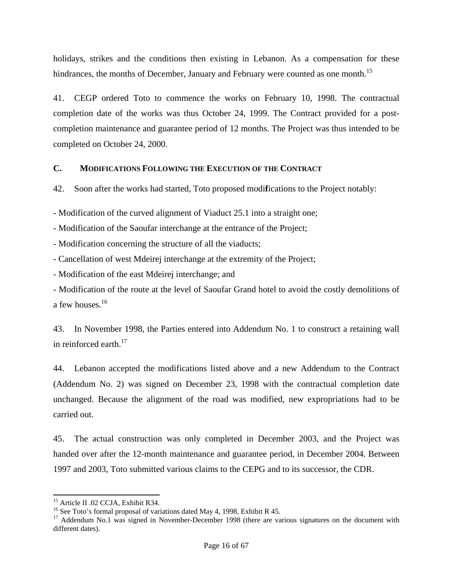holidays, strikes and the conditions then existing in Lebanon. As a compensation for these hindrances, the months of December, January and February were counted as one month.<sup>15</sup>

41. CEGP ordered Toto to commence the works on February 10, 1998. The contractual completion date of the works was thus October 24, 1999. The Contract provided for a postcompletion maintenance and guarantee period of 12 months. The Project was thus intended to be completed on October 24, 2000.

#### **C. MODIFICATIONS FOLLOWING THE EXECUTION OF THE CONTRACT**

42. Soon after the works had started, Toto proposed modi**f**ications to the Project notably:

- Modification of the curved alignment of Viaduct 25.1 into a straight one;

- Modification of the Saoufar interchange at the entrance of the Project;

- Modification concerning the structure of all the viaducts;

- Cancellation of west Mdeirej interchange at the extremity of the Project;

- Modification of the east Mdeirej interchange; and

- Modification of the route at the level of Saoufar Grand hotel to avoid the costly demolitions of a few houses.<sup>16</sup>

43. In November 1998, the Parties entered into Addendum No. 1 to construct a retaining wall in reinforced earth. $17$ 

44. Lebanon accepted the modifications listed above and a new Addendum to the Contract (Addendum No. 2) was signed on December 23, 1998 with the contractual completion date unchanged. Because the alignment of the road was modified, new expropriations had to be carried out.

45. The actual construction was only completed in December 2003, and the Project was handed over after the 12-month maintenance and guarantee period, in December 2004. Between 1997 and 2003, Toto submitted various claims to the CEPG and to its successor, the CDR.

<sup>&</sup>lt;sup>15</sup> Article II .02 CCJA, Exhibit R34.

<sup>&</sup>lt;sup>16</sup> See Toto's formal proposal of variations dated May 4, 1998, Exhibit R 45.

<sup>&</sup>lt;sup>17</sup> Addendum No.1 was signed in November-December 1998 (there are various signatures on the document with different dates).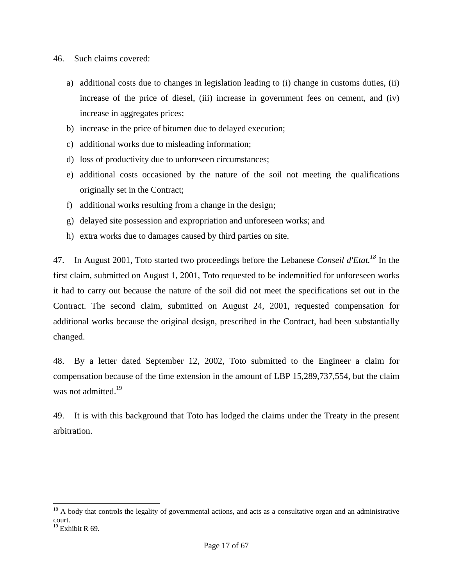- 46. Such claims covered:
	- a) additional costs due to changes in legislation leading to (i) change in customs duties, (ii) increase of the price of diesel, (iii) increase in government fees on cement, and (iv) increase in aggregates prices;
	- b) increase in the price of bitumen due to delayed execution;
	- c) additional works due to misleading information;
	- d) loss of productivity due to unforeseen circumstances;
	- e) additional costs occasioned by the nature of the soil not meeting the qualifications originally set in the Contract;
	- f) additional works resulting from a change in the design;
	- g) delayed site possession and expropriation and unforeseen works; and
	- h) extra works due to damages caused by third parties on site.

47. In August 2001, Toto started two proceedings before the Lebanese *Conseil d'Etat.18* In the first claim, submitted on August 1, 2001, Toto requested to be indemnified for unforeseen works it had to carry out because the nature of the soil did not meet the specifications set out in the Contract. The second claim, submitted on August 24, 2001, requested compensation for additional works because the original design, prescribed in the Contract, had been substantially changed.

48. By a letter dated September 12, 2002, Toto submitted to the Engineer a claim for compensation because of the time extension in the amount of LBP 15,289,737,554, but the claim was not admitted.<sup>19</sup>

49. It is with this background that Toto has lodged the claims under the Treaty in the present arbitration.

 $18$  A body that controls the legality of governmental actions, and acts as a consultative organ and an administrative court.

 $19$  Exhibit R 69.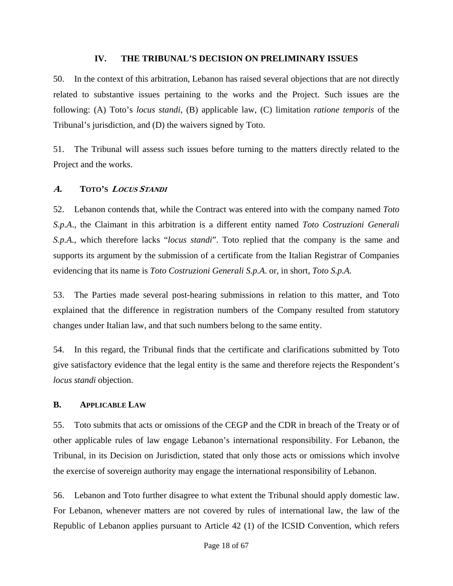#### **IV. THE TRIBUNAL'S DECISION ON PRELIMINARY ISSUES**

50. In the context of this arbitration, Lebanon has raised several objections that are not directly related to substantive issues pertaining to the works and the Project. Such issues are the following: (A) Toto's *locus standi*, (B) applicable law, (C) limitation *ratione temporis* of the Tribunal's jurisdiction, and (D) the waivers signed by Toto.

51. The Tribunal will assess such issues before turning to the matters directly related to the Project and the works.

#### **A. TOTO'S <sup>L</sup>OCUS STANDI**

52. Lebanon contends that, while the Contract was entered into with the company named *Toto S.p.A*., the Claimant in this arbitration is a different entity named *Toto Costruzioni Generali S.p.A.*, which therefore lacks "*locus standi*". Toto replied that the company is the same and supports its argument by the submission of a certificate from the Italian Registrar of Companies evidencing that its name is *Toto Costruzioni Generali S.p.A*. or, in short, *Toto S.p.A.*

53. The Parties made several post-hearing submissions in relation to this matter, and Toto explained that the difference in registration numbers of the Company resulted from statutory changes under Italian law, and that such numbers belong to the same entity.

54. In this regard, the Tribunal finds that the certificate and clarifications submitted by Toto give satisfactory evidence that the legal entity is the same and therefore rejects the Respondent's *locus standi* objection.

#### **B. APPLICABLE LAW**

55. Toto submits that acts or omissions of the CEGP and the CDR in breach of the Treaty or of other applicable rules of law engage Lebanon's international responsibility. For Lebanon, the Tribunal, in its Decision on Jurisdiction, stated that only those acts or omissions which involve the exercise of sovereign authority may engage the international responsibility of Lebanon.

56. Lebanon and Toto further disagree to what extent the Tribunal should apply domestic law. For Lebanon, whenever matters are not covered by rules of international law, the law of the Republic of Lebanon applies pursuant to Article 42 (1) of the ICSID Convention, which refers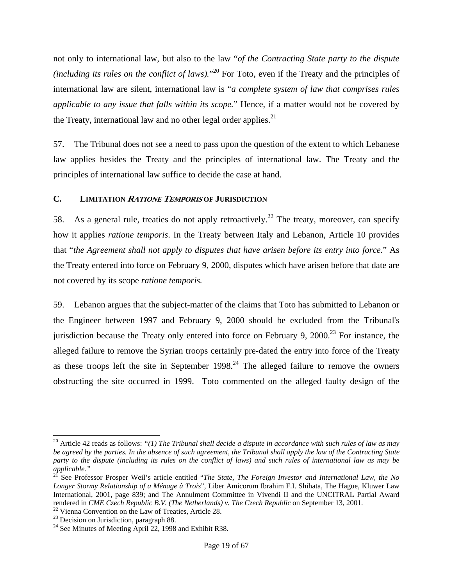not only to international law, but also to the law "*of the Contracting State party to the dispute (including its rules on the conflict of laws)*.<sup>"20</sup> For Toto, even if the Treaty and the principles of international law are silent, international law is "*a complete system of law that comprises rules applicable to any issue that falls within its scope.*" Hence, if a matter would not be covered by the Treaty, international law and no other legal order applies. $2<sup>1</sup>$ 

57. The Tribunal does not see a need to pass upon the question of the extent to which Lebanese law applies besides the Treaty and the principles of international law. The Treaty and the principles of international law suffice to decide the case at hand.

# **C. LIMITATION <sup>R</sup>ATIONE TEMPORIS OF JURISDICTION**

58. As a general rule, treaties do not apply retroactively.<sup>22</sup> The treaty, moreover, can specify how it applies *ratione temporis*. In the Treaty between Italy and Lebanon, Article 10 provides that "*the Agreement shall not apply to disputes that have arisen before its entry into force.*" As the Treaty entered into force on February 9, 2000, disputes which have arisen before that date are not covered by its scope *ratione temporis.* 

59. Lebanon argues that the subject-matter of the claims that Toto has submitted to Lebanon or the Engineer between 1997 and February 9, 2000 should be excluded from the Tribunal's jurisdiction because the Treaty only entered into force on February 9,  $2000$ .<sup>23</sup> For instance, the alleged failure to remove the Syrian troops certainly pre-dated the entry into force of the Treaty as these troops left the site in September  $1998<sup>24</sup>$ . The alleged failure to remove the owners obstructing the site occurred in 1999. Toto commented on the alleged faulty design of the

<sup>&</sup>lt;sup>20</sup> Article 42 reads as follows: "(1) The Tribunal shall decide a dispute in accordance with such rules of law as may *be agreed by the parties. In the absence of such agreement, the Tribunal shall apply the law of the Contracting State party to the dispute (including its rules on the conflict of laws) and such rules of international law as may be applicable."*<br><sup>21</sup>

<sup>21</sup> See Professor Prosper Weil's article entitled "*The State, The Foreign Investor and International Law, the No Longer Stormy Relationship of a Ménage à Trois*", Liber Amicorum Ibrahim F.I. Shihata, The Hague, Kluwer Law International, 2001, page 839; and The Annulment Committee in Vivendi II and the UNCITRAL Partial Award rendered in *CME Czech Republic B.V. (The Netherlands) v. The Czech Republic* on September 13, 2001.<br><sup>22</sup> Vienna Convention on the Law of Treaties, Article 28.

<sup>&</sup>lt;sup>23</sup> Decision on Jurisdiction, paragraph 88.

<sup>&</sup>lt;sup>24</sup> See Minutes of Meeting April 22, 1998 and Exhibit R38.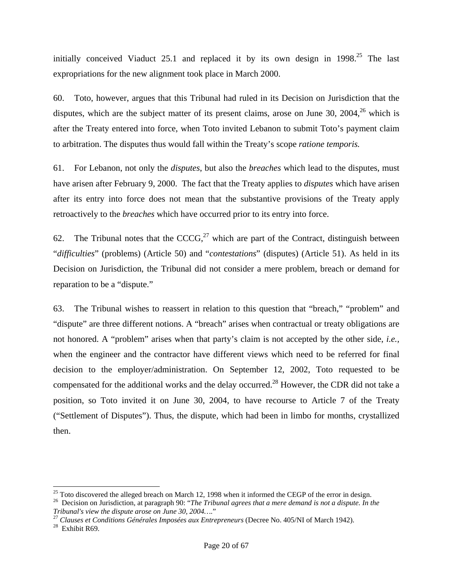initially conceived Viaduct  $25.1$  and replaced it by its own design in  $1998.<sup>25</sup>$  The last expropriations for the new alignment took place in March 2000.

60. Toto, however, argues that this Tribunal had ruled in its Decision on Jurisdiction that the disputes, which are the subject matter of its present claims, arose on June 30,  $2004$ <sup>26</sup> which is after the Treaty entered into force, when Toto invited Lebanon to submit Toto's payment claim to arbitration. The disputes thus would fall within the Treaty's scope *ratione temporis.*

61. For Lebanon, not only the *disputes*, but also the *breaches* which lead to the disputes, must have arisen after February 9, 2000. The fact that the Treaty applies to *disputes* which have arisen after its entry into force does not mean that the substantive provisions of the Treaty apply retroactively to the *breaches* which have occurred prior to its entry into force.

62. The Tribunal notes that the  $CCCG<sub>1</sub><sup>27</sup>$  which are part of the Contract, distinguish between "*difficulties*" (problems) (Article 50) and "*contestations*" (disputes) (Article 51). As held in its Decision on Jurisdiction, the Tribunal did not consider a mere problem, breach or demand for reparation to be a "dispute."

63. The Tribunal wishes to reassert in relation to this question that "breach," "problem" and "dispute" are three different notions. A "breach" arises when contractual or treaty obligations are not honored. A "problem" arises when that party's claim is not accepted by the other side, *i.e.,*  when the engineer and the contractor have different views which need to be referred for final decision to the employer/administration. On September 12, 2002, Toto requested to be compensated for the additional works and the delay occurred.28 However, the CDR did not take a position, so Toto invited it on June 30, 2004, to have recourse to Article 7 of the Treaty ("Settlement of Disputes"). Thus, the dispute, which had been in limbo for months, crystallized then.

 $25$  Toto discovered the alleged breach on March 12, 1998 when it informed the CEGP of the error in design.

<sup>&</sup>lt;sup>26</sup> Decision on Jurisdiction, at paragraph 90: "*The Tribunal agrees that a mere demand is not a dispute. In the Tribunal's view the dispute arose on June 30, 2004...."* 

*Tribunal's view the dispute arose on June 30, 2004….*" 27 *Clauses et Conditions Générales Imposées aux Entrepreneurs* (Decree No. 405/NI of March 1942). 28 Exhibit R69.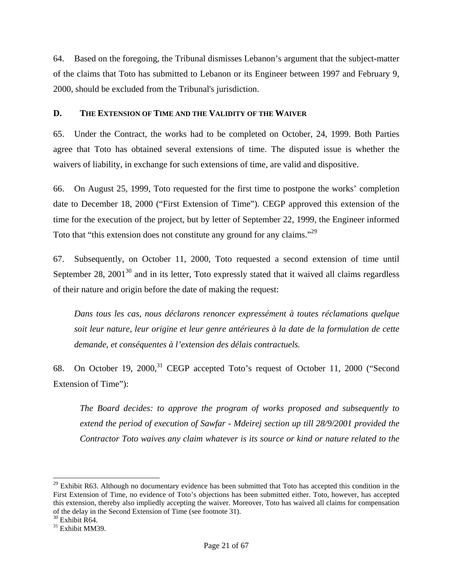64. Based on the foregoing, the Tribunal dismisses Lebanon's argument that the subject-matter of the claims that Toto has submitted to Lebanon or its Engineer between 1997 and February 9, 2000, should be excluded from the Tribunal's jurisdiction.

# **D. THE EXTENSION OF TIME AND THE VALIDITY OF THE WAIVER**

65. Under the Contract, the works had to be completed on October, 24, 1999. Both Parties agree that Toto has obtained several extensions of time. The disputed issue is whether the waivers of liability, in exchange for such extensions of time, are valid and dispositive.

66. On August 25, 1999, Toto requested for the first time to postpone the works' completion date to December 18, 2000 ("First Extension of Time"). CEGP approved this extension of the time for the execution of the project, but by letter of September 22, 1999, the Engineer informed Toto that "this extension does not constitute any ground for any claims."29

67. Subsequently, on October 11, 2000, Toto requested a second extension of time until September 28,  $2001^{30}$  and in its letter, Toto expressly stated that it waived all claims regardless of their nature and origin before the date of making the request:

*Dans tous les cas, nous déclarons renoncer expressément à toutes réclamations quelque soit leur nature, leur origine et leur genre antérieures à la date de la formulation de cette demande, et conséquentes à l'extension des délais contractuels.* 

68. On October 19, 2000,<sup>31</sup> CEGP accepted Toto's request of October 11, 2000 ("Second Extension of Time"):

*The Board decides: to approve the program of works proposed and subsequently to extend the period of execution of Sawfar - Mdeirej section up till 28/9/2001 provided the Contractor Toto waives any claim whatever is its source or kind or nature related to the* 

 $29$  Exhibit R63. Although no documentary evidence has been submitted that Toto has accepted this condition in the First Extension of Time, no evidence of Toto's objections has been submitted either. Toto, however, has accepted this extension, thereby also impliedly accepting the waiver. Moreover, Toto has waived all claims for compensation of the delay in the Second Extension of Time (see footnote 31).

 $30$  Exhibit R64.

<sup>&</sup>lt;sup>31</sup> Exhibit MM39.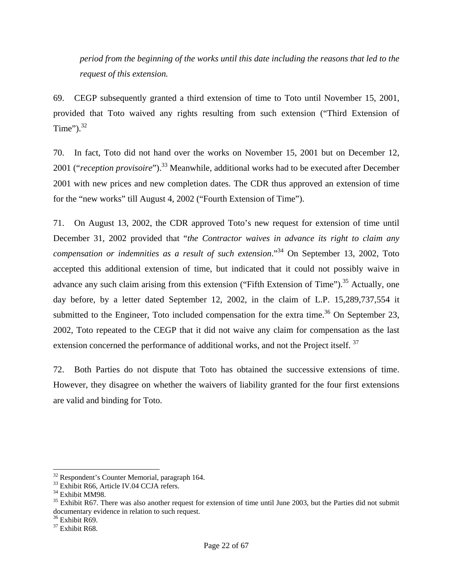*period from the beginning of the works until this date including the reasons that led to the request of this extension.* 

69. CEGP subsequently granted a third extension of time to Toto until November 15, 2001, provided that Toto waived any rights resulting from such extension ("Third Extension of Time" $)$ .<sup>32</sup>

70. In fact, Toto did not hand over the works on November 15, 2001 but on December 12, 2001 ("*reception provisoire*").<sup>33</sup> Meanwhile, additional works had to be executed after December 2001 with new prices and new completion dates. The CDR thus approved an extension of time for the "new works" till August 4, 2002 ("Fourth Extension of Time").

71. On August 13, 2002, the CDR approved Toto's new request for extension of time until December 31, 2002 provided that "*the Contractor waives in advance its right to claim any compensation or indemnities as a result of such extension*."34 On September 13, 2002, Toto accepted this additional extension of time, but indicated that it could not possibly waive in advance any such claim arising from this extension ("Fifth Extension of Time").<sup>35</sup> Actually, one day before, by a letter dated September 12, 2002, in the claim of L.P. 15,289,737,554 it submitted to the Engineer, Toto included compensation for the extra time.<sup>36</sup> On September 23, 2002, Toto repeated to the CEGP that it did not waive any claim for compensation as the last extension concerned the performance of additional works, and not the Project itself.<sup>37</sup>

72. Both Parties do not dispute that Toto has obtained the successive extensions of time. However, they disagree on whether the waivers of liability granted for the four first extensions are valid and binding for Toto.

<sup>32</sup> Respondent's Counter Memorial, paragraph 164.

<sup>&</sup>lt;sup>33</sup> Exhibit R66, Article IV.04 CCJA refers.

<sup>&</sup>lt;sup>34</sup> Exhibit MM98.

 $35$  Exhibit R67. There was also another request for extension of time until June 2003, but the Parties did not submit documentary evidence in relation to such request.

<sup>&</sup>lt;sup>36</sup> Exhibit R69.

<sup>&</sup>lt;sup>37</sup> Exhibit R68.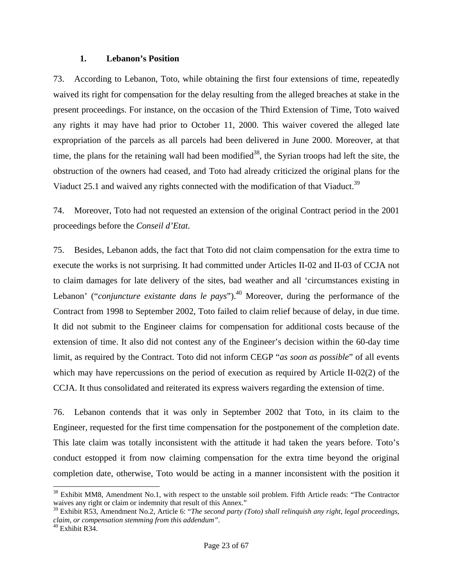#### **1. Lebanon's Position**

73. According to Lebanon, Toto, while obtaining the first four extensions of time, repeatedly waived its right for compensation for the delay resulting from the alleged breaches at stake in the present proceedings. For instance, on the occasion of the Third Extension of Time, Toto waived any rights it may have had prior to October 11, 2000. This waiver covered the alleged late expropriation of the parcels as all parcels had been delivered in June 2000. Moreover, at that time, the plans for the retaining wall had been modified<sup>38</sup>, the Syrian troops had left the site, the obstruction of the owners had ceased, and Toto had already criticized the original plans for the Viaduct 25.1 and waived any rights connected with the modification of that Viaduct.<sup>39</sup>

74. Moreover, Toto had not requested an extension of the original Contract period in the 2001 proceedings before the *Conseil d'Etat*.

75. Besides, Lebanon adds, the fact that Toto did not claim compensation for the extra time to execute the works is not surprising. It had committed under Articles II-02 and II-03 of CCJA not to claim damages for late delivery of the sites, bad weather and all 'circumstances existing in Lebanon' ("*conjuncture existante dans le pays*").<sup>40</sup> Moreover, during the performance of the Contract from 1998 to September 2002, Toto failed to claim relief because of delay, in due time. It did not submit to the Engineer claims for compensation for additional costs because of the extension of time. It also did not contest any of the Engineer's decision within the 60-day time limit, as required by the Contract. Toto did not inform CEGP "*as soon as possible*" of all events which may have repercussions on the period of execution as required by Article II-02(2) of the CCJA. It thus consolidated and reiterated its express waivers regarding the extension of time.

76. Lebanon contends that it was only in September 2002 that Toto, in its claim to the Engineer, requested for the first time compensation for the postponement of the completion date. This late claim was totally inconsistent with the attitude it had taken the years before. Toto's conduct estopped it from now claiming compensation for the extra time beyond the original completion date, otherwise, Toto would be acting in a manner inconsistent with the position it

 $38$  Exhibit MM8, Amendment No.1, with respect to the unstable soil problem. Fifth Article reads: "The Contractor waives any right or claim or indemnity that result of this Annex."

<sup>39</sup> Exhibit R53, Amendment No.2, Article 6: "*The second party (Toto) shall relinquish any right, legal proceedings, claim, or compensation stemming from this addendum".*

 $40$  Exhibit R34.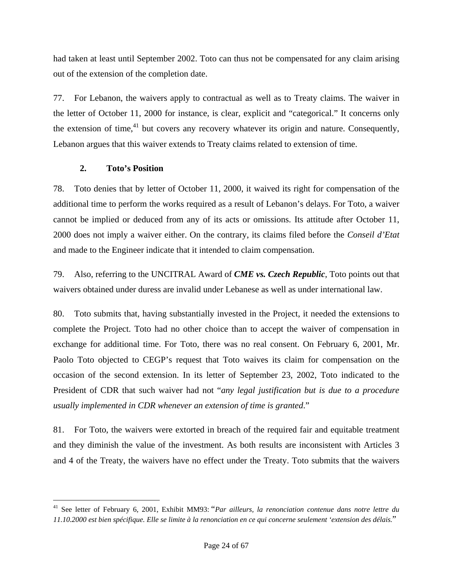had taken at least until September 2002. Toto can thus not be compensated for any claim arising out of the extension of the completion date.

77. For Lebanon, the waivers apply to contractual as well as to Treaty claims. The waiver in the letter of October 11, 2000 for instance, is clear, explicit and "categorical." It concerns only the extension of time, $^{41}$  but covers any recovery whatever its origin and nature. Consequently, Lebanon argues that this waiver extends to Treaty claims related to extension of time.

# **2. Toto's Position**

l

78. Toto denies that by letter of October 11, 2000, it waived its right for compensation of the additional time to perform the works required as a result of Lebanon's delays. For Toto, a waiver cannot be implied or deduced from any of its acts or omissions. Its attitude after October 11, 2000 does not imply a waiver either. On the contrary, its claims filed before the *Conseil d'Etat* and made to the Engineer indicate that it intended to claim compensation.

79. Also, referring to the UNCITRAL Award of *CME vs. Czech Republic*, Toto points out that waivers obtained under duress are invalid under Lebanese as well as under international law.

80. Toto submits that, having substantially invested in the Project, it needed the extensions to complete the Project. Toto had no other choice than to accept the waiver of compensation in exchange for additional time. For Toto, there was no real consent. On February 6, 2001, Mr. Paolo Toto objected to CEGP's request that Toto waives its claim for compensation on the occasion of the second extension. In its letter of September 23, 2002, Toto indicated to the President of CDR that such waiver had not "*any legal justification but is due to a procedure usually implemented in CDR whenever an extension of time is granted*."

81. For Toto, the waivers were extorted in breach of the required fair and equitable treatment and they diminish the value of the investment. As both results are inconsistent with Articles 3 and 4 of the Treaty, the waivers have no effect under the Treaty. Toto submits that the waivers

<sup>41</sup> See letter of February 6, 2001, Exhibit MM93: "*Par ailleurs, la renonciation contenue dans notre lettre du 11.10.2000 est bien spécifique. Elle se limite à la renonciation en ce qui concerne seulement 'extension des délais.*"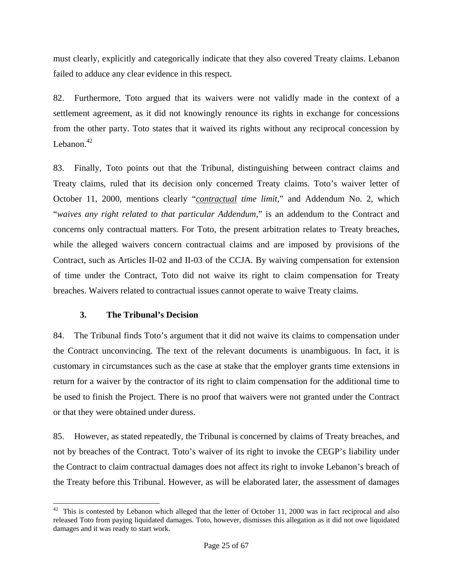must clearly, explicitly and categorically indicate that they also covered Treaty claims. Lebanon failed to adduce any clear evidence in this respect.

82. Furthermore, Toto argued that its waivers were not validly made in the context of a settlement agreement, as it did not knowingly renounce its rights in exchange for concessions from the other party. Toto states that it waived its rights without any reciprocal concession by Lebanon.<sup>42</sup>

83. Finally, Toto points out that the Tribunal, distinguishing between contract claims and Treaty claims, ruled that its decision only concerned Treaty claims. Toto's waiver letter of October 11, 2000, mentions clearly "*contractual time limit*," and Addendum No. 2, which "*waives any right related to that particular Addendum*," is an addendum to the Contract and concerns only contractual matters. For Toto, the present arbitration relates to Treaty breaches, while the alleged waivers concern contractual claims and are imposed by provisions of the Contract, such as Articles II-02 and II-03 of the CCJA. By waiving compensation for extension of time under the Contract, Toto did not waive its right to claim compensation for Treaty breaches. Waivers related to contractual issues cannot operate to waive Treaty claims.

# **3. The Tribunal's Decision**

84. The Tribunal finds Toto's argument that it did not waive its claims to compensation under the Contract unconvincing. The text of the relevant documents is unambiguous. In fact, it is customary in circumstances such as the case at stake that the employer grants time extensions in return for a waiver by the contractor of its right to claim compensation for the additional time to be used to finish the Project. There is no proof that waivers were not granted under the Contract or that they were obtained under duress.

85. However, as stated repeatedly, the Tribunal is concerned by claims of Treaty breaches, and not by breaches of the Contract. Toto's waiver of its right to invoke the CEGP's liability under the Contract to claim contractual damages does not affect its right to invoke Lebanon's breach of the Treaty before this Tribunal. However, as will be elaborated later, the assessment of damages

l  $42$  This is contested by Lebanon which alleged that the letter of October 11, 2000 was in fact reciprocal and also released Toto from paying liquidated damages. Toto, however, dismisses this allegation as it did not owe liquidated damages and it was ready to start work.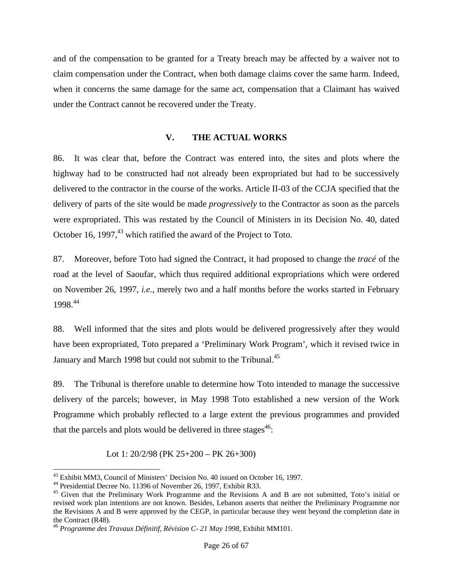and of the compensation to be granted for a Treaty breach may be affected by a waiver not to claim compensation under the Contract, when both damage claims cover the same harm. Indeed, when it concerns the same damage for the same act, compensation that a Claimant has waived under the Contract cannot be recovered under the Treaty.

#### **V. THE ACTUAL WORKS**

86. It was clear that, before the Contract was entered into, the sites and plots where the highway had to be constructed had not already been expropriated but had to be successively delivered to the contractor in the course of the works. Article II-03 of the CCJA specified that the delivery of parts of the site would be made *progressively* to the Contractor as soon as the parcels were expropriated. This was restated by the Council of Ministers in its Decision No. 40, dated October 16, 1997, $43$  which ratified the award of the Project to Toto.

87. Moreover, before Toto had signed the Contract, it had proposed to change the *tracé* of the road at the level of Saoufar, which thus required additional expropriations which were ordered on November 26, 1997, *i.e.*, merely two and a half months before the works started in February 1998.44

88. Well informed that the sites and plots would be delivered progressively after they would have been expropriated, Toto prepared a 'Preliminary Work Program', which it revised twice in January and March 1998 but could not submit to the Tribunal.<sup>45</sup>

89. The Tribunal is therefore unable to determine how Toto intended to manage the successive delivery of the parcels; however, in May 1998 Toto established a new version of the Work Programme which probably reflected to a large extent the previous programmes and provided that the parcels and plots would be delivered in three stages<sup> $46$ </sup>:

Lot 1: 20/2/98 (PK 25+200 – PK 26+300)

<sup>43</sup> Exhibit MM3, Council of Ministers' Decision No. 40 issued on October 16, 1997.

<sup>44</sup> Presidential Decree No. 11396 of November 26, 1997, Exhibit R33.

<sup>&</sup>lt;sup>45</sup> Given that the Preliminary Work Programme and the Revisions A and B are not submitted, Toto's initial or revised work plan intentions are not known. Besides, Lebanon asserts that neither the Preliminary Programme nor the Revisions A and B were approved by the CEGP, in particular because they went beyond the completion date in the Contract (R48).

<sup>46</sup> *Programme des Travaux Définitif, Révision C- 21 May 1998*, Exhibit MM101.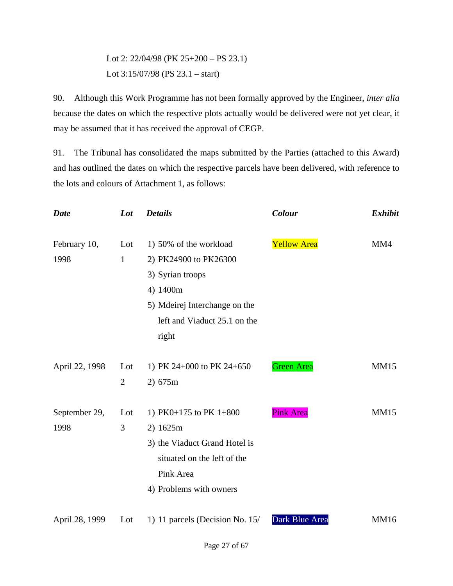Lot 2: 22/04/98 (PK 25+200 – PS 23.1) Lot 3:15/07/98 (PS 23.1 – start)

90. Although this Work Programme has not been formally approved by the Engineer, *inter alia*  because the dates on which the respective plots actually would be delivered were not yet clear, it may be assumed that it has received the approval of CEGP.

91. The Tribunal has consolidated the maps submitted by the Parties (attached to this Award) and has outlined the dates on which the respective parcels have been delivered, with reference to the lots and colours of Attachment 1, as follows:

| <b>Date</b>    | Lot            | <b>Details</b>                  | Colour             | <b>Exhibit</b> |
|----------------|----------------|---------------------------------|--------------------|----------------|
| February 10,   | Lot            | 1) 50% of the workload          | <b>Yellow Area</b> | MM4            |
| 1998           | $\mathbf{1}$   | 2) PK24900 to PK26300           |                    |                |
|                |                | 3) Syrian troops                |                    |                |
|                |                | 4) 1400m                        |                    |                |
|                |                | 5) Mdeirej Interchange on the   |                    |                |
|                |                | left and Viaduct 25.1 on the    |                    |                |
|                |                | right                           |                    |                |
| April 22, 1998 | Lot            | 1) PK 24+000 to PK 24+650       | <b>Green Area</b>  | <b>MM15</b>    |
|                | $\overline{2}$ | 2) 675m                         |                    |                |
| September 29,  | Lot            | 1) PK0+175 to PK $1+800$        | <b>Pink Area</b>   | <b>MM15</b>    |
| 1998           | 3              | 2) 1625m                        |                    |                |
|                |                | 3) the Viaduct Grand Hotel is   |                    |                |
|                |                | situated on the left of the     |                    |                |
|                |                | Pink Area                       |                    |                |
|                |                | 4) Problems with owners         |                    |                |
| April 28, 1999 | Lot            | 1) 11 parcels (Decision No. 15/ | Dark Blue Area     | <b>MM16</b>    |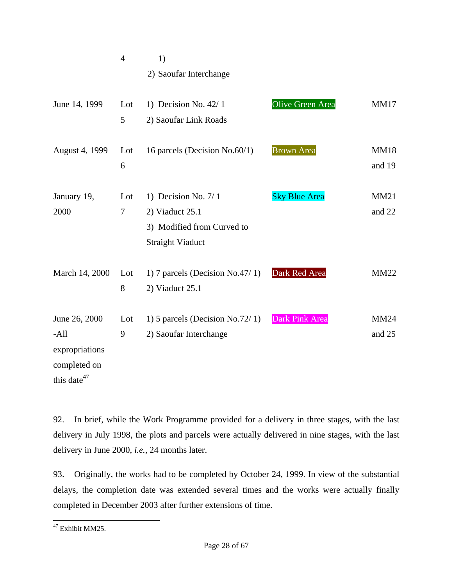|                                                                                       | $\overline{4}$ | 1)                                                                                              |                      |                       |
|---------------------------------------------------------------------------------------|----------------|-------------------------------------------------------------------------------------------------|----------------------|-----------------------|
|                                                                                       |                | 2) Saoufar Interchange                                                                          |                      |                       |
| June 14, 1999                                                                         | Lot<br>5       | 1) Decision No. $42/1$<br>2) Saoufar Link Roads                                                 | Olive Green Area     | <b>MM17</b>           |
| August 4, 1999                                                                        | Lot<br>6       | 16 parcels (Decision No.60/1)                                                                   | <b>Brown Area</b>    | <b>MM18</b><br>and 19 |
| January 19,<br>2000                                                                   | Lot<br>7       | 1) Decision No. 7/1<br>2) Viaduct 25.1<br>3) Modified from Curved to<br><b>Straight Viaduct</b> | <b>Sky Blue Area</b> | <b>MM21</b><br>and 22 |
| March 14, 2000                                                                        | Lot<br>8       | 1) 7 parcels (Decision No.47/1)<br>2) Viaduct 25.1                                              | Dark Red Area        | <b>MM22</b>           |
| June 26, 2000<br>$-A$ ll<br>expropriations<br>completed on<br>this date <sup>47</sup> | Lot<br>9       | 1) 5 parcels (Decision No.72/1)<br>2) Saoufar Interchange                                       | Dark Pink Area       | <b>MM24</b><br>and 25 |

92. In brief, while the Work Programme provided for a delivery in three stages, with the last delivery in July 1998, the plots and parcels were actually delivered in nine stages, with the last delivery in June 2000, *i.e.*, 24 months later.

93. Originally, the works had to be completed by October 24, 1999. In view of the substantial delays, the completion date was extended several times and the works were actually finally completed in December 2003 after further extensions of time.

<sup>&</sup>lt;sup>47</sup> Exhibit MM25.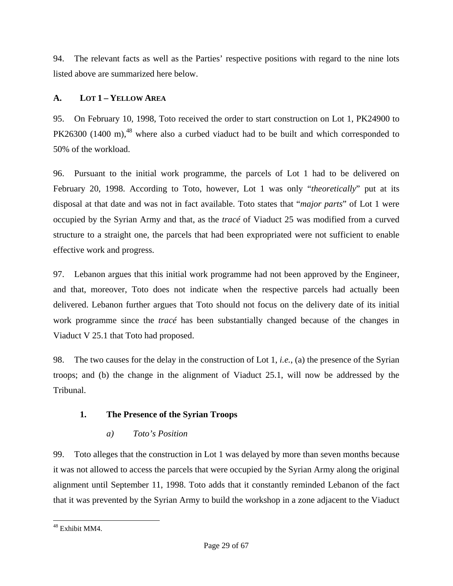94. The relevant facts as well as the Parties' respective positions with regard to the nine lots listed above are summarized here below.

# **A. LOT 1 – YELLOW AREA**

95. On February 10, 1998, Toto received the order to start construction on Lot 1, PK24900 to  $PK26300$  (1400 m),<sup>48</sup> where also a curbed viaduct had to be built and which corresponded to 50% of the workload.

96. Pursuant to the initial work programme, the parcels of Lot 1 had to be delivered on February 20, 1998. According to Toto, however, Lot 1 was only "*theoretically*" put at its disposal at that date and was not in fact available. Toto states that "*major parts*" of Lot 1 were occupied by the Syrian Army and that, as the *tracé* of Viaduct 25 was modified from a curved structure to a straight one, the parcels that had been expropriated were not sufficient to enable effective work and progress.

97. Lebanon argues that this initial work programme had not been approved by the Engineer, and that, moreover, Toto does not indicate when the respective parcels had actually been delivered. Lebanon further argues that Toto should not focus on the delivery date of its initial work programme since the *tracé* has been substantially changed because of the changes in Viaduct V 25.1 that Toto had proposed.

98. The two causes for the delay in the construction of Lot 1, *i.e.*, (a) the presence of the Syrian troops; and (b) the change in the alignment of Viaduct 25.1, will now be addressed by the Tribunal.

# **1. The Presence of the Syrian Troops**

# *a) Toto's Position*

99. Toto alleges that the construction in Lot 1 was delayed by more than seven months because it was not allowed to access the parcels that were occupied by the Syrian Army along the original alignment until September 11, 1998. Toto adds that it constantly reminded Lebanon of the fact that it was prevented by the Syrian Army to build the workshop in a zone adjacent to the Viaduct

l 48 Exhibit MM4.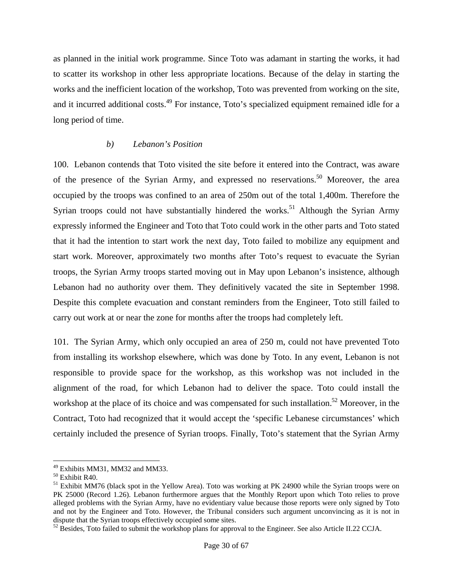as planned in the initial work programme. Since Toto was adamant in starting the works, it had to scatter its workshop in other less appropriate locations. Because of the delay in starting the works and the inefficient location of the workshop, Toto was prevented from working on the site, and it incurred additional costs.<sup>49</sup> For instance, Toto's specialized equipment remained idle for a long period of time.

#### *b) Lebanon's Position*

100. Lebanon contends that Toto visited the site before it entered into the Contract, was aware of the presence of the Syrian Army, and expressed no reservations.<sup>50</sup> Moreover, the area occupied by the troops was confined to an area of 250m out of the total 1,400m. Therefore the Syrian troops could not have substantially hindered the works.<sup>51</sup> Although the Syrian Army expressly informed the Engineer and Toto that Toto could work in the other parts and Toto stated that it had the intention to start work the next day, Toto failed to mobilize any equipment and start work. Moreover, approximately two months after Toto's request to evacuate the Syrian troops, the Syrian Army troops started moving out in May upon Lebanon's insistence, although Lebanon had no authority over them. They definitively vacated the site in September 1998. Despite this complete evacuation and constant reminders from the Engineer, Toto still failed to carry out work at or near the zone for months after the troops had completely left.

101. The Syrian Army, which only occupied an area of 250 m, could not have prevented Toto from installing its workshop elsewhere, which was done by Toto. In any event, Lebanon is not responsible to provide space for the workshop, as this workshop was not included in the alignment of the road, for which Lebanon had to deliver the space. Toto could install the workshop at the place of its choice and was compensated for such installation.<sup>52</sup> Moreover, in the Contract, Toto had recognized that it would accept the 'specific Lebanese circumstances' which certainly included the presence of Syrian troops. Finally, Toto's statement that the Syrian Army

<sup>&</sup>lt;sup>49</sup> Exhibits MM31, MM32 and MM33.

<sup>50</sup> Exhibit R40.

<sup>&</sup>lt;sup>51</sup> Exhibit MM76 (black spot in the Yellow Area). Toto was working at PK 24900 while the Syrian troops were on PK 25000 (Record 1.26). Lebanon furthermore argues that the Monthly Report upon which Toto relies to prove alleged problems with the Syrian Army, have no evidentiary value because those reports were only signed by Toto and not by the Engineer and Toto. However, the Tribunal considers such argument unconvincing as it is not in dispute that the Syrian troops effectively occupied some sites.<br><sup>52</sup> Besides, Toto failed to submit the workshop plans for approval to the Engineer. See also Article II.22 CCJA.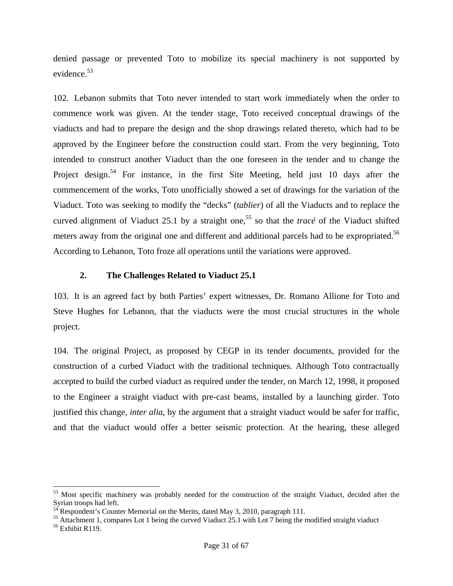denied passage or prevented Toto to mobilize its special machinery is not supported by evidence.<sup>53</sup>

102. Lebanon submits that Toto never intended to start work immediately when the order to commence work was given. At the tender stage, Toto received conceptual drawings of the viaducts and had to prepare the design and the shop drawings related thereto, which had to be approved by the Engineer before the construction could start. From the very beginning, Toto intended to construct another Viaduct than the one foreseen in the tender and to change the Project design.<sup>54</sup> For instance, in the first Site Meeting, held just 10 days after the commencement of the works, Toto unofficially showed a set of drawings for the variation of the Viaduct. Toto was seeking to modify the "decks" (*tablier*) of all the Viaducts and to replace the curved alignment of Viaduct 25.1 by a straight one,<sup>55</sup> so that the *tracé* of the Viaduct shifted meters away from the original one and different and additional parcels had to be expropriated.<sup>56</sup> According to Lebanon, Toto froze all operations until the variations were approved.

#### **2. The Challenges Related to Viaduct 25.1**

103. It is an agreed fact by both Parties' expert witnesses, Dr. Romano Allione for Toto and Steve Hughes for Lebanon, that the viaducts were the most crucial structures in the whole project.

104. The original Project, as proposed by CEGP in its tender documents, provided for the construction of a curbed Viaduct with the traditional techniques. Although Toto contractually accepted to build the curbed viaduct as required under the tender, on March 12, 1998, it proposed to the Engineer a straight viaduct with pre-cast beams, installed by a launching girder. Toto justified this change, *inter alia*, by the argument that a straight viaduct would be safer for traffic, and that the viaduct would offer a better seismic protection. At the hearing, these alleged

<sup>&</sup>lt;sup>53</sup> Most specific machinery was probably needed for the construction of the straight Viaduct, decided after the Syrian troops had left.

 $54$  Respondent's Counter Memorial on the Merits, dated May 3, 2010, paragraph 111.

<sup>&</sup>lt;sup>55</sup> Attachment 1, compares Lot 1 being the curved Viaduct 25.1 with Lot 7 being the modified straight viaduct 56 Exhibit R119.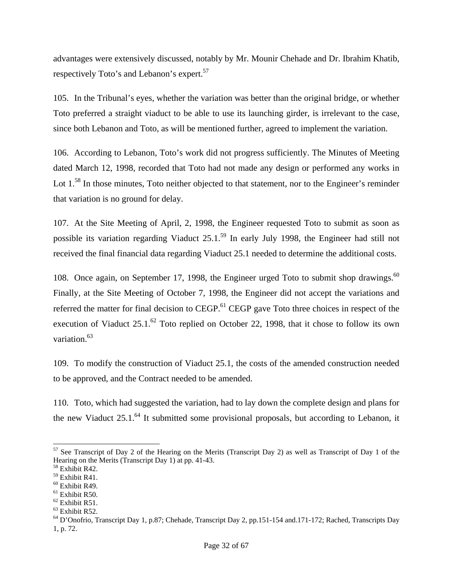advantages were extensively discussed, notably by Mr. Mounir Chehade and Dr. Ibrahim Khatib, respectively Toto's and Lebanon's expert.<sup>57</sup>

105. In the Tribunal's eyes, whether the variation was better than the original bridge, or whether Toto preferred a straight viaduct to be able to use its launching girder, is irrelevant to the case, since both Lebanon and Toto, as will be mentioned further, agreed to implement the variation.

106. According to Lebanon, Toto's work did not progress sufficiently. The Minutes of Meeting dated March 12, 1998, recorded that Toto had not made any design or performed any works in Lot 1.<sup>58</sup> In those minutes, Toto neither objected to that statement, nor to the Engineer's reminder that variation is no ground for delay.

107. At the Site Meeting of April, 2, 1998, the Engineer requested Toto to submit as soon as possible its variation regarding Viaduct 25.1.59 In early July 1998, the Engineer had still not received the final financial data regarding Viaduct 25.1 needed to determine the additional costs.

108. Once again, on September 17, 1998, the Engineer urged Toto to submit shop drawings.<sup>60</sup> Finally, at the Site Meeting of October 7, 1998, the Engineer did not accept the variations and referred the matter for final decision to CEGP.<sup>61</sup> CEGP gave Toto three choices in respect of the execution of Viaduct  $25.1<sup>62</sup>$  Toto replied on October 22, 1998, that it chose to follow its own variation.<sup>63</sup>

109. To modify the construction of Viaduct 25.1, the costs of the amended construction needed to be approved, and the Contract needed to be amended.

110. Toto, which had suggested the variation, had to lay down the complete design and plans for the new Viaduct  $25.1<sup>64</sup>$  It submitted some provisional proposals, but according to Lebanon, it

l  $57$  See Transcript of Day 2 of the Hearing on the Merits (Transcript Day 2) as well as Transcript of Day 1 of the Hearing on the Merits (Transcript Day 1) at pp. 41-43.

<sup>58</sup> Exhibit R42.

<sup>59</sup> Exhibit R41.

<sup>60</sup> Exhibit R49.

 $61$  Exhibit R50.

 $62$  Exhibit R51.

<sup>63</sup> Exhibit R52.

<sup>&</sup>lt;sup>64</sup> D'Onofrio, Transcript Day 1, p.87; Chehade, Transcript Day 2, pp.151-154 and.171-172; Rached, Transcripts Day 1, p. 72.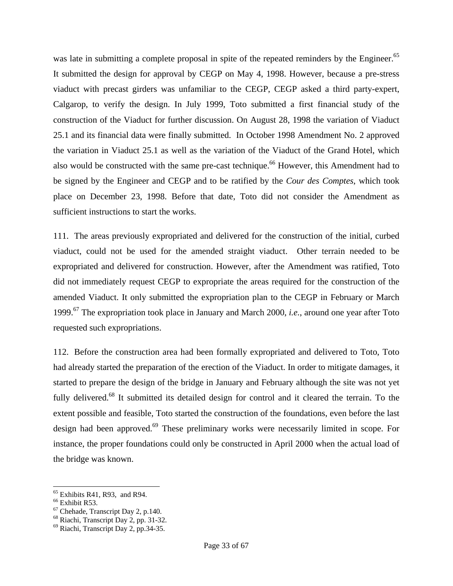was late in submitting a complete proposal in spite of the repeated reminders by the Engineer.<sup>65</sup> It submitted the design for approval by CEGP on May 4, 1998. However, because a pre-stress viaduct with precast girders was unfamiliar to the CEGP, CEGP asked a third party-expert, Calgarop, to verify the design. In July 1999, Toto submitted a first financial study of the construction of the Viaduct for further discussion. On August 28, 1998 the variation of Viaduct 25.1 and its financial data were finally submitted. In October 1998 Amendment No. 2 approved the variation in Viaduct 25.1 as well as the variation of the Viaduct of the Grand Hotel, which also would be constructed with the same pre-cast technique.<sup>66</sup> However, this Amendment had to be signed by the Engineer and CEGP and to be ratified by the *Cour des Comptes*, which took place on December 23, 1998. Before that date, Toto did not consider the Amendment as sufficient instructions to start the works.

111. The areas previously expropriated and delivered for the construction of the initial, curbed viaduct, could not be used for the amended straight viaduct. Other terrain needed to be expropriated and delivered for construction. However, after the Amendment was ratified, Toto did not immediately request CEGP to expropriate the areas required for the construction of the amended Viaduct. It only submitted the expropriation plan to the CEGP in February or March 1999.67 The expropriation took place in January and March 2000, *i.e.*, around one year after Toto requested such expropriations.

112. Before the construction area had been formally expropriated and delivered to Toto, Toto had already started the preparation of the erection of the Viaduct. In order to mitigate damages, it started to prepare the design of the bridge in January and February although the site was not yet fully delivered.<sup>68</sup> It submitted its detailed design for control and it cleared the terrain. To the extent possible and feasible, Toto started the construction of the foundations, even before the last design had been approved.<sup>69</sup> These preliminary works were necessarily limited in scope. For instance, the proper foundations could only be constructed in April 2000 when the actual load of the bridge was known.

 $<sup>65</sup>$  Exhibits R41, R93, and R94.</sup>

<sup>&</sup>lt;sup>66</sup> Exhibit R53.

 $67$  Chehade, Transcript Day 2, p.140.

<sup>68</sup> Riachi, Transcript Day 2, pp. 31-32.

<sup>69</sup> Riachi, Transcript Day 2, pp.34-35.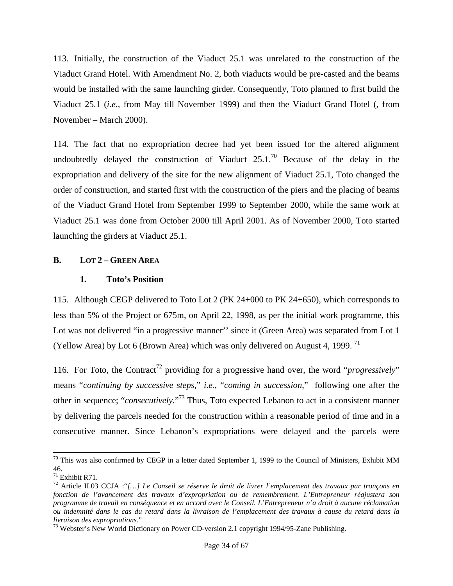113. Initially, the construction of the Viaduct 25.1 was unrelated to the construction of the Viaduct Grand Hotel. With Amendment No. 2, both viaducts would be pre-casted and the beams would be installed with the same launching girder. Consequently, Toto planned to first build the Viaduct 25.1 (*i.e.,* from May till November 1999) and then the Viaduct Grand Hotel (*,* from November – March 2000).

114. The fact that no expropriation decree had yet been issued for the altered alignment undoubtedly delayed the construction of Viaduct  $25.1<sup>70</sup>$  Because of the delay in the expropriation and delivery of the site for the new alignment of Viaduct 25.1, Toto changed the order of construction, and started first with the construction of the piers and the placing of beams of the Viaduct Grand Hotel from September 1999 to September 2000, while the same work at Viaduct 25.1 was done from October 2000 till April 2001. As of November 2000, Toto started launching the girders at Viaduct 25.1.

#### **B. LOT 2 – GREEN AREA**

#### **1. Toto's Position**

115. Although CEGP delivered to Toto Lot 2 (PK 24+000 to PK 24+650), which corresponds to less than 5% of the Project or 675m, on April 22, 1998, as per the initial work programme, this Lot was not delivered "in a progressive manner'' since it (Green Area) was separated from Lot 1 (Yellow Area) by Lot 6 (Brown Area) which was only delivered on August 4, 1999.<sup>71</sup>

116. For Toto, the Contract<sup>72</sup> providing for a progressive hand over, the word "*progressively*" means "*continuing by successive steps*," *i.e.*, "*coming in succession*," following one after the other in sequence; "*consecutively.*" 73 Thus, Toto expected Lebanon to act in a consistent manner by delivering the parcels needed for the construction within a reasonable period of time and in a consecutive manner. Since Lebanon's expropriations were delayed and the parcels were

 $70$  This was also confirmed by CEGP in a letter dated September 1, 1999 to the Council of Ministers, Exhibit MM 46.

 $71$  Exhibit R71.

<sup>72</sup> Article II.03 CCJA :"*[…] Le Conseil se réserve le droit de livrer l'emplacement des travaux par tronçons en fonction de l'avancement des travaux d'expropriation ou de remembrement. L'Entrepreneur réajustera son programme de travail en conséquence et en accord avec le Conseil. L'Entrepreneur n'a droit à aucune réclamation ou indemnité dans le cas du retard dans la livraison de l'emplacement des travaux à cause du retard dans la livraison des expropriations.*"<br><sup>73</sup> Webster's New World Dictionary on Power CD-version 2.1 copyright 1994/95-Zane Publishing.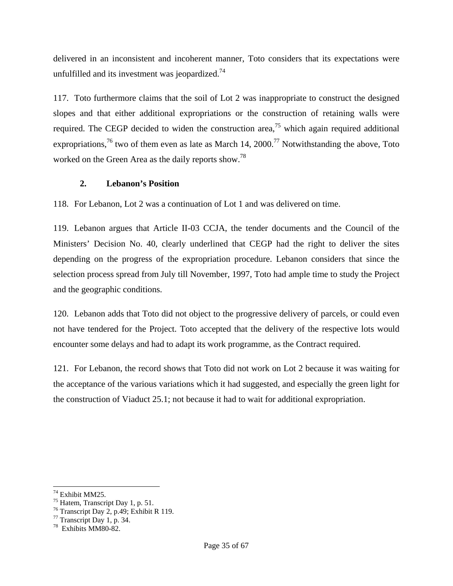delivered in an inconsistent and incoherent manner, Toto considers that its expectations were unfulfilled and its investment was jeopardized. $74$ 

117. Toto furthermore claims that the soil of Lot 2 was inappropriate to construct the designed slopes and that either additional expropriations or the construction of retaining walls were required. The CEGP decided to widen the construction area,<sup>75</sup> which again required additional expropriations,<sup>76</sup> two of them even as late as March 14, 2000.<sup>77</sup> Notwithstanding the above, Toto worked on the Green Area as the daily reports show.78

# **2. Lebanon's Position**

118. For Lebanon, Lot 2 was a continuation of Lot 1 and was delivered on time.

119. Lebanon argues that Article II-03 CCJA, the tender documents and the Council of the Ministers' Decision No. 40, clearly underlined that CEGP had the right to deliver the sites depending on the progress of the expropriation procedure. Lebanon considers that since the selection process spread from July till November, 1997, Toto had ample time to study the Project and the geographic conditions.

120. Lebanon adds that Toto did not object to the progressive delivery of parcels, or could even not have tendered for the Project. Toto accepted that the delivery of the respective lots would encounter some delays and had to adapt its work programme, as the Contract required.

121. For Lebanon, the record shows that Toto did not work on Lot 2 because it was waiting for the acceptance of the various variations which it had suggested, and especially the green light for the construction of Viaduct 25.1; not because it had to wait for additional expropriation.

<sup>74</sup> Exhibit MM25.

 $^{75}$  Hatem, Transcript Day 1, p. 51.

 $76$  Transcript Day 2, p.49; Exhibit R 119.

<sup>77</sup> Transcript Day 1, p. 34.

<sup>78</sup> Exhibits MM80-82.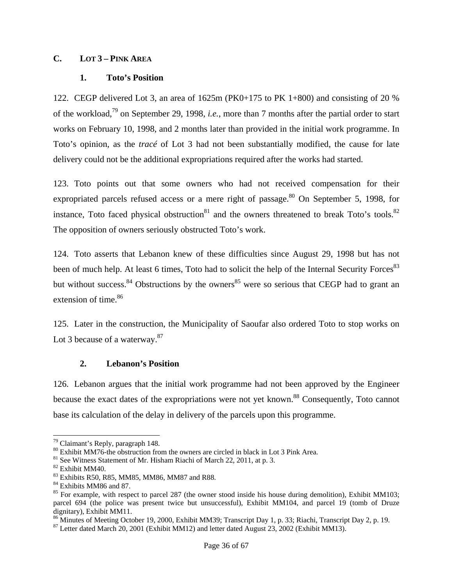#### **C. LOT 3 – PINK AREA**

#### **1. Toto's Position**

122. CEGP delivered Lot 3, an area of 1625m (PK0+175 to PK 1+800) and consisting of 20 % of the workload,79 on September 29, 1998, *i.e.*, more than 7 months after the partial order to start works on February 10, 1998, and 2 months later than provided in the initial work programme. In Toto's opinion, as the *tracé* of Lot 3 had not been substantially modified, the cause for late delivery could not be the additional expropriations required after the works had started.

123. Toto points out that some owners who had not received compensation for their expropriated parcels refused access or a mere right of passage.<sup>80</sup> On September 5, 1998, for instance, Toto faced physical obstruction $81$  and the owners threatened to break Toto's tools. $82$ The opposition of owners seriously obstructed Toto's work.

124. Toto asserts that Lebanon knew of these difficulties since August 29, 1998 but has not been of much help. At least 6 times, Toto had to solicit the help of the Internal Security Forces<sup>83</sup> but without success.  $84$  Obstructions by the owners  $85$  were so serious that CEGP had to grant an extension of time.<sup>86</sup>

125. Later in the construction, the Municipality of Saoufar also ordered Toto to stop works on Lot 3 because of a waterway. $87$ 

#### **2. Lebanon's Position**

126. Lebanon argues that the initial work programme had not been approved by the Engineer because the exact dates of the expropriations were not yet known.<sup>88</sup> Consequently, Toto cannot base its calculation of the delay in delivery of the parcels upon this programme.

 $79$  Claimant's Reply, paragraph 148.

<sup>&</sup>lt;sup>80</sup> Exhibit MM76-the obstruction from the owners are circled in black in Lot 3 Pink Area.

<sup>&</sup>lt;sup>81</sup> See Witness Statement of Mr. Hisham Riachi of March 22, 2011, at p. 3. <sup>82</sup> Exhibit MM40.

<sup>83</sup> Exhibits R50, R85, MM85, MM86, MM87 and R88.

<sup>&</sup>lt;sup>84</sup> Exhibits MM86 and 87.

 $85$  For example, with respect to parcel 287 (the owner stood inside his house during demolition), Exhibit MM103; parcel 694 (the police was present twice but unsuccessful), Exhibit MM104, and parcel 19 (tomb of Druze dignitary), Exhibit MM11.

<sup>&</sup>lt;sup>86</sup> Minutes of Meeting October 19, 2000, Exhibit MM39; Transcript Day 1, p. 33; Riachi, Transcript Day 2, p. 19.

<sup>&</sup>lt;sup>87</sup> Letter dated March 20, 2001 (Exhibit MM12) and letter dated August 23, 2002 (Exhibit MM13).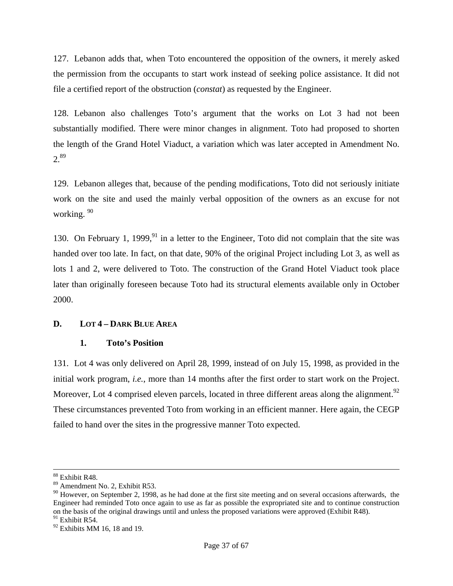127. Lebanon adds that, when Toto encountered the opposition of the owners, it merely asked the permission from the occupants to start work instead of seeking police assistance. It did not file a certified report of the obstruction (*constat*) as requested by the Engineer.

128. Lebanon also challenges Toto's argument that the works on Lot 3 had not been substantially modified. There were minor changes in alignment. Toto had proposed to shorten the length of the Grand Hotel Viaduct, a variation which was later accepted in Amendment No.  $2.89$ 

129. Lebanon alleges that, because of the pending modifications, Toto did not seriously initiate work on the site and used the mainly verbal opposition of the owners as an excuse for not working. 90

130. On February 1, 1999, $91$  in a letter to the Engineer, Toto did not complain that the site was handed over too late. In fact, on that date, 90% of the original Project including Lot 3, as well as lots 1 and 2, were delivered to Toto. The construction of the Grand Hotel Viaduct took place later than originally foreseen because Toto had its structural elements available only in October 2000.

# **D. LOT 4 – DARK BLUE AREA**

# **1. Toto's Position**

131. Lot 4 was only delivered on April 28, 1999, instead of on July 15, 1998, as provided in the initial work program, *i.e.*, more than 14 months after the first order to start work on the Project. Moreover, Lot 4 comprised eleven parcels, located in three different areas along the alignment.<sup>92</sup> These circumstances prevented Toto from working in an efficient manner. Here again, the CEGP failed to hand over the sites in the progressive manner Toto expected.

 <sup>88</sup> Exhibit R48.

<sup>89</sup> Amendment No. 2, Exhibit R53.

 $90$  However, on September 2, 1998, as he had done at the first site meeting and on several occasions afterwards, the Engineer had reminded Toto once again to use as far as possible the expropriated site and to continue construction on the basis of the original drawings until and unless the proposed variations were approved (Exhibit R48).  $91$  Exhibit R54.

 $92$  Exhibits MM 16, 18 and 19.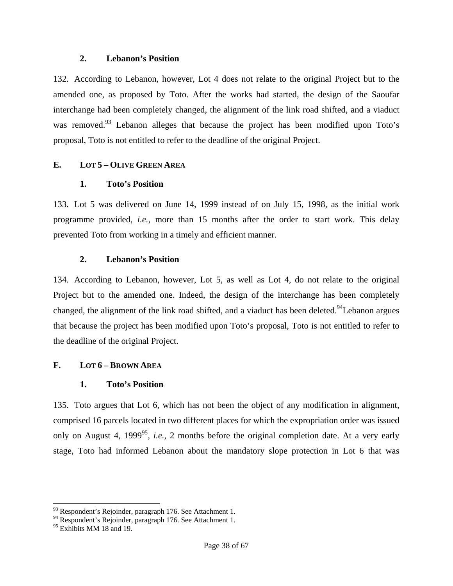#### **2. Lebanon's Position**

132. According to Lebanon, however, Lot 4 does not relate to the original Project but to the amended one, as proposed by Toto. After the works had started, the design of the Saoufar interchange had been completely changed, the alignment of the link road shifted, and a viaduct was removed.<sup>93</sup> Lebanon alleges that because the project has been modified upon Toto's proposal, Toto is not entitled to refer to the deadline of the original Project.

# **E. LOT 5 – OLIVE GREEN AREA**

# **1. Toto's Position**

133. Lot 5 was delivered on June 14, 1999 instead of on July 15, 1998, as the initial work programme provided, *i.e.*, more than 15 months after the order to start work. This delay prevented Toto from working in a timely and efficient manner.

# **2. Lebanon's Position**

134. According to Lebanon, however, Lot 5, as well as Lot 4, do not relate to the original Project but to the amended one. Indeed, the design of the interchange has been completely changed, the alignment of the link road shifted, and a viaduct has been deleted.<sup>94</sup>Lebanon argues that because the project has been modified upon Toto's proposal, Toto is not entitled to refer to the deadline of the original Project.

# **F. LOT 6 – BROWN AREA**

# **1. Toto's Position**

135. Toto argues that Lot 6, which has not been the object of any modification in alignment, comprised 16 parcels located in two different places for which the expropriation order was issued only on August 4, 1999<sup>95</sup>, *i.e.*, 2 months before the original completion date. At a very early stage, Toto had informed Lebanon about the mandatory slope protection in Lot 6 that was

 $93$  Respondent's Rejoinder, paragraph 176. See Attachment 1.

<sup>&</sup>lt;sup>94</sup> Respondent's Rejoinder, paragraph 176. See Attachment 1.

<sup>&</sup>lt;sup>95</sup> Exhibits MM 18 and 19.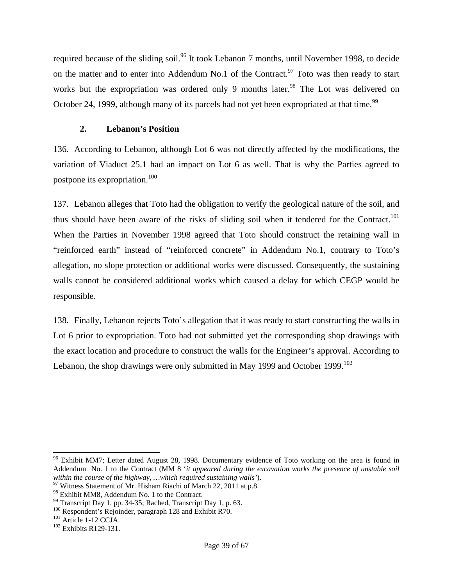required because of the sliding soil.<sup>96</sup> It took Lebanon 7 months, until November 1998, to decide on the matter and to enter into Addendum No.1 of the Contract.<sup>97</sup> Toto was then ready to start works but the expropriation was ordered only 9 months later.<sup>98</sup> The Lot was delivered on October 24, 1999, although many of its parcels had not yet been expropriated at that time.<sup>99</sup>

# **2. Lebanon's Position**

136. According to Lebanon, although Lot 6 was not directly affected by the modifications, the variation of Viaduct 25.1 had an impact on Lot 6 as well. That is why the Parties agreed to postpone its expropriation.100

137. Lebanon alleges that Toto had the obligation to verify the geological nature of the soil, and thus should have been aware of the risks of sliding soil when it tendered for the Contract.<sup>101</sup> When the Parties in November 1998 agreed that Toto should construct the retaining wall in "reinforced earth" instead of "reinforced concrete" in Addendum No.1, contrary to Toto's allegation, no slope protection or additional works were discussed. Consequently, the sustaining walls cannot be considered additional works which caused a delay for which CEGP would be responsible.

138. Finally, Lebanon rejects Toto's allegation that it was ready to start constructing the walls in Lot 6 prior to expropriation. Toto had not submitted yet the corresponding shop drawings with the exact location and procedure to construct the walls for the Engineer's approval. According to Lebanon, the shop drawings were only submitted in May 1999 and October 1999.<sup>102</sup>

l  $96$  Exhibit MM7; Letter dated August 28, 1998. Documentary evidence of Toto working on the area is found in Addendum No. 1 to the Contract (MM 8 '*it appeared during the excavation works the presence of unstable soil* 

<sup>&</sup>lt;sup>97</sup> Witness Statement of Mr. Hisham Riachi of March 22, 2011 at p.8.

<sup>&</sup>lt;sup>98</sup> Exhibit MM8, Addendum No. 1 to the Contract.

<sup>99</sup> Transcript Day 1, pp. 34-35; Rached, Transcript Day 1, p. 63.

<sup>&</sup>lt;sup>100</sup> Respondent's Rejoinder, paragraph 128 and Exhibit R70.<br><sup>101</sup> Article 1-12 CCJA.<br><sup>102</sup> Exhibits R129-131.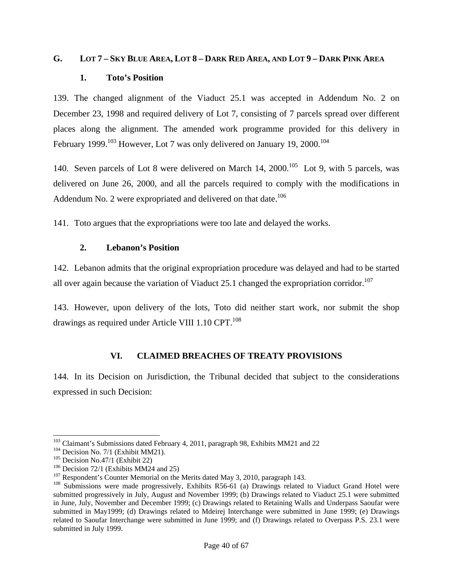#### **G. LOT 7 – SKY BLUE AREA, LOT 8 – DARK RED AREA, AND LOT 9 – DARK PINK AREA**

#### **1. Toto's Position**

139. The changed alignment of the Viaduct 25.1 was accepted in Addendum No. 2 on December 23, 1998 and required delivery of Lot 7, consisting of 7 parcels spread over different places along the alignment. The amended work programme provided for this delivery in February 1999.<sup>103</sup> However, Lot 7 was only delivered on January 19, 2000.<sup>104</sup>

140. Seven parcels of Lot 8 were delivered on March 14,  $2000$ .<sup>105</sup> Lot 9, with 5 parcels, was delivered on June 26, 2000, and all the parcels required to comply with the modifications in Addendum No. 2 were expropriated and delivered on that date.<sup>106</sup>

141. Toto argues that the expropriations were too late and delayed the works.

#### **2. Lebanon's Position**

142. Lebanon admits that the original expropriation procedure was delayed and had to be started all over again because the variation of Viaduct 25.1 changed the expropriation corridor.<sup>107</sup>

143. However, upon delivery of the lots, Toto did neither start work, nor submit the shop drawings as required under Article VIII  $1.10$  CPT.<sup>108</sup>

# **VI. CLAIMED BREACHES OF TREATY PROVISIONS**

144. In its Decision on Jurisdiction, the Tribunal decided that subject to the considerations expressed in such Decision:

<sup>&</sup>lt;sup>103</sup> Claimant's Submissions dated February 4, 2011, paragraph 98, Exhibits MM21 and 22<br><sup>104</sup> Decision No. 7/1 (Exhibit MM21).<br><sup>105</sup> Decision No.47/1 (Exhibit 22)<br><sup>106</sup> Decision 72/1 (Exhibits MM24 and 25)<br><sup>107</sup> Responden submitted progressively in July, August and November 1999; (b) Drawings related to Viaduct 25.1 were submitted in June, July, November and December 1999; (c) Drawings related to Retaining Walls and Underpass Saoufar were submitted in May1999; (d) Drawings related to Mdeirej Interchange were submitted in June 1999; (e) Drawings related to Saoufar Interchange were submitted in June 1999; and (f) Drawings related to Overpass P.S. 23.1 were submitted in July 1999.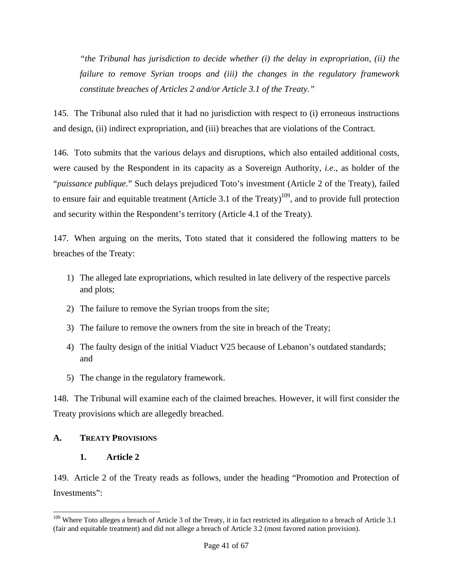*"the Tribunal has jurisdiction to decide whether (i) the delay in expropriation, (ii) the failure to remove Syrian troops and (iii) the changes in the regulatory framework constitute breaches of Articles 2 and/or Article 3.1 of the Treaty."* 

145. The Tribunal also ruled that it had no jurisdiction with respect to (i) erroneous instructions and design, (ii) indirect expropriation, and (iii) breaches that are violations of the Contract*.* 

146. Toto submits that the various delays and disruptions, which also entailed additional costs, were caused by the Respondent in its capacity as a Sovereign Authority, *i.e.*, as holder of the "*puissance publique.*" Such delays prejudiced Toto's investment (Article 2 of the Treaty), failed to ensure fair and equitable treatment (Article 3.1 of the Treaty)<sup>109</sup>, and to provide full protection and security within the Respondent's territory (Article 4.1 of the Treaty).

147. When arguing on the merits, Toto stated that it considered the following matters to be breaches of the Treaty:

- 1) The alleged late expropriations, which resulted in late delivery of the respective parcels and plots;
- 2) The failure to remove the Syrian troops from the site;
- 3) The failure to remove the owners from the site in breach of the Treaty;
- 4) The faulty design of the initial Viaduct V25 because of Lebanon's outdated standards; and
- 5) The change in the regulatory framework.

148. The Tribunal will examine each of the claimed breaches. However, it will first consider the Treaty provisions which are allegedly breached.

# **A. TREATY PROVISIONS**

l

# **1. Article 2**

149. Article 2 of the Treaty reads as follows, under the heading "Promotion and Protection of Investments":

<sup>&</sup>lt;sup>109</sup> Where Toto alleges a breach of Article 3 of the Treaty, it in fact restricted its allegation to a breach of Article 3.1 (fair and equitable treatment) and did not allege a breach of Article 3.2 (most favored nation provision).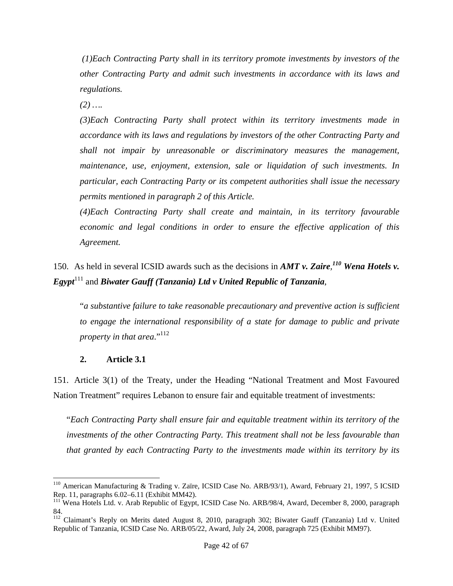*(1)Each Contracting Party shall in its territory promote investments by investors of the other Contracting Party and admit such investments in accordance with its laws and regulations.* 

*(2) ….* 

*(3)Each Contracting Party shall protect within its territory investments made in accordance with its laws and regulations by investors of the other Contracting Party and shall not impair by unreasonable or discriminatory measures the management, maintenance, use, enjoyment, extension, sale or liquidation of such investments. In particular, each Contracting Party or its competent authorities shall issue the necessary permits mentioned in paragraph 2 of this Article.* 

*(4)Each Contracting Party shall create and maintain, in its territory favourable economic and legal conditions in order to ensure the effective application of this Agreement.* 

150. As held in several ICSID awards such as the decisions in *AMT v. Zaire, <sup>110</sup> Wena Hotels v. Egypt*<sup>111</sup> and *Biwater Gauff (Tanzania) Ltd v United Republic of Tanzania*,

"*a substantive failure to take reasonable precautionary and preventive action is sufficient to engage the international responsibility of a state for damage to public and private property in that area.*"<sup>112</sup>

# **2. Article 3.1**

151. Article 3(1) of the Treaty, under the Heading "National Treatment and Most Favoured Nation Treatment" requires Lebanon to ensure fair and equitable treatment of investments:

"*Each Contracting Party shall ensure fair and equitable treatment within its territory of the investments of the other Contracting Party. This treatment shall not be less favourable than that granted by each Contracting Party to the investments made within its territory by its* 

l <sup>110</sup> American Manufacturing & Trading v. Zaïre, ICSID Case No. ARB/93/1), Award, February 21, 1997, 5 ICSID Rep. 11, paragraphs 6.02–6.11 (Exhibit MM42).

<sup>&</sup>lt;sup>111</sup> Wena Hotels Ltd. v. Arab Republic of Egypt, ICSID Case No. ARB/98/4, Award, December 8, 2000, paragraph 84.

<sup>&</sup>lt;sup>112</sup> Claimant's Reply on Merits dated August 8, 2010, paragraph 302; Biwater Gauff (Tanzania) Ltd v. United Republic of Tanzania, ICSID Case No. ARB/05/22, Award, July 24, 2008, paragraph 725 (Exhibit MM97).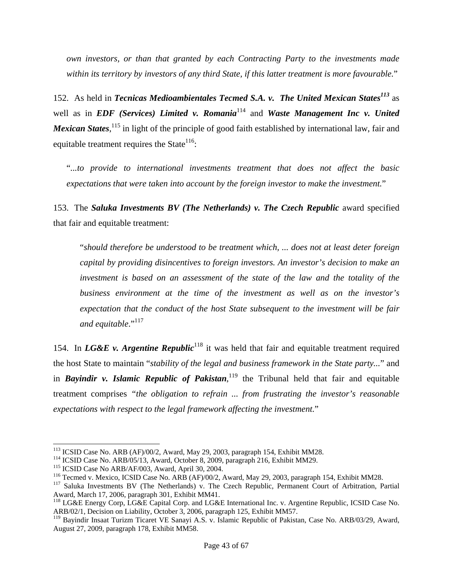*own investors, or than that granted by each Contracting Party to the investments made within its territory by investors of any third State, if this latter treatment is more favourable.*"

152. As held in *Tecnicas Medioambientales Tecmed S.A. v. The United Mexican States<sup>113</sup> as* well as in *EDF* (Services) Limited v. Romania<sup>114</sup> and *Waste Management Inc v. United* Mexican States, <sup>115</sup> in light of the principle of good faith established by international law, fair and equitable treatment requires the State<sup>116</sup>:

"*...to provide to international investments treatment that does not affect the basic expectations that were taken into account by the foreign investor to make the investment.*"

153. The *Saluka Investments BV (The Netherlands) v. The Czech Republic* award specified that fair and equitable treatment:

"*should therefore be understood to be treatment which, ... does not at least deter foreign capital by providing disincentives to foreign investors. An investor's decision to make an investment is based on an assessment of the state of the law and the totality of the business environment at the time of the investment as well as on the investor's expectation that the conduct of the host State subsequent to the investment will be fair*  and equitable."<sup>117</sup>

154. In *LG&E v. Argentine Republic*<sup>118</sup> it was held that fair and equitable treatment required the host State to maintain "*stability of the legal and business framework in the State party...*" and in *Bayindir v. Islamic Republic of Pakistan*, 119 the Tribunal held that fair and equitable treatment comprises *"the obligation to refrain ... from frustrating the investor's reasonable expectations with respect to the legal framework affecting the investment.*"

<sup>&</sup>lt;sup>113</sup> ICSID Case No. ARB (AF)/00/2, Award, May 29, 2003, paragraph 154, Exhibit MM28.<br><sup>114</sup> ICSID Case No. ARB/05/13, Award, October 8, 2009, paragraph 216, Exhibit MM29.<br><sup>115</sup> ICSID Case No ARB/AF/003, Award, April 30, 2

Award, March 17, 2006, paragraph 301, Exhibit MM41.

<sup>&</sup>lt;sup>118</sup> LG&E Energy Corp, LG&E Capital Corp. and LG&E International Inc. v. Argentine Republic, ICSID Case No. ARB/02/1, Decision on Liability, October 3, 2006, paragraph 125, Exhibit MM57.

<sup>119</sup> Bayindir Insaat Turizm Ticaret VE Sanayi A.S. v. Islamic Republic of Pakistan, Case No. ARB/03/29, Award, August 27, 2009, paragraph 178, Exhibit MM58.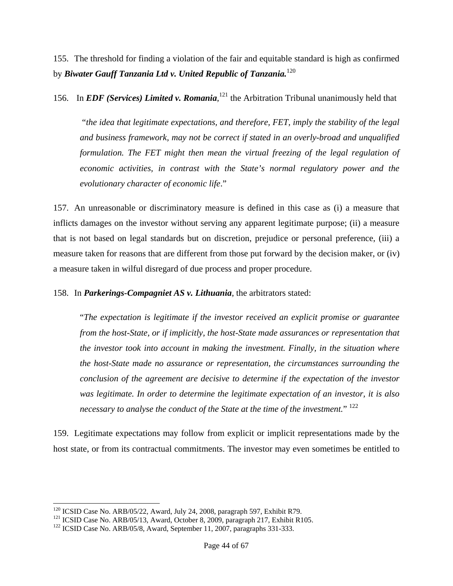155. The threshold for finding a violation of the fair and equitable standard is high as confirmed by *Biwater Gauff Tanzania Ltd v. United Republic of Tanzania.*<sup>120</sup>

156. In *EDF (Services) Limited v. Romania*,<sup>121</sup> the Arbitration Tribunal unanimously held that

"*the idea that legitimate expectations, and therefore, FET, imply the stability of the legal and business framework, may not be correct if stated in an overly-broad and unqualified formulation. The FET might then mean the virtual freezing of the legal regulation of economic activities, in contrast with the State's normal regulatory power and the evolutionary character of economic life*."

157. An unreasonable or discriminatory measure is defined in this case as (i) a measure that inflicts damages on the investor without serving any apparent legitimate purpose; (ii) a measure that is not based on legal standards but on discretion, prejudice or personal preference, (iii) a measure taken for reasons that are different from those put forward by the decision maker, or (iv) a measure taken in wilful disregard of due process and proper procedure.

158. In *Parkerings-Compagniet AS v. Lithuania*, the arbitrators stated:

"*The expectation is legitimate if the investor received an explicit promise or guarantee from the host-State, or if implicitly, the host-State made assurances or representation that the investor took into account in making the investment. Finally, in the situation where the host-State made no assurance or representation, the circumstances surrounding the conclusion of the agreement are decisive to determine if the expectation of the investor was legitimate. In order to determine the legitimate expectation of an investor, it is also necessary to analyse the conduct of the State at the time of the investment.*" <sup>122</sup>

159. Legitimate expectations may follow from explicit or implicit representations made by the host state, or from its contractual commitments. The investor may even sometimes be entitled to

<sup>&</sup>lt;sup>120</sup> ICSID Case No. ARB/05/22, Award, July 24, 2008, paragraph 597, Exhibit R79.

<sup>&</sup>lt;sup>121</sup> ICSID Case No. ARB/05/13, Award, October 8, 2009, paragraph 217, Exhibit R105.<br><sup>122</sup> ICSID Case No. ARB/05/8, Award, September 11, 2007, paragraphs 331-333.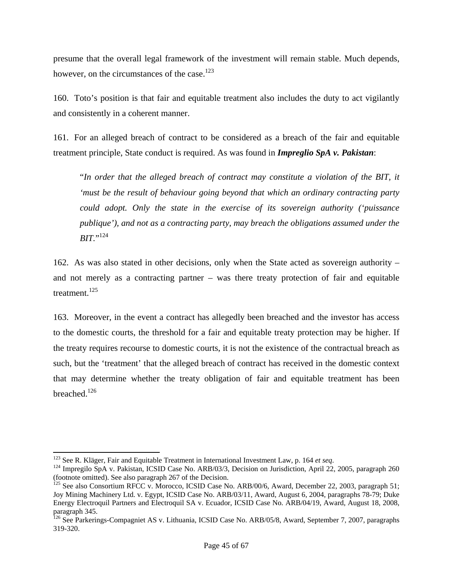presume that the overall legal framework of the investment will remain stable. Much depends, however, on the circumstances of the case.<sup>123</sup>

160. Toto's position is that fair and equitable treatment also includes the duty to act vigilantly and consistently in a coherent manner.

161. For an alleged breach of contract to be considered as a breach of the fair and equitable treatment principle, State conduct is required. As was found in *Impreglio SpA v. Pakistan*:

"*In order that the alleged breach of contract may constitute a violation of the BIT, it 'must be the result of behaviour going beyond that which an ordinary contracting party could adopt. Only the state in the exercise of its sovereign authority ('puissance publique'), and not as a contracting party, may breach the obligations assumed under the BIT.*" 124

162. As was also stated in other decisions, only when the State acted as sovereign authority – and not merely as a contracting partner – was there treaty protection of fair and equitable treatment.<sup>125</sup>

163. Moreover, in the event a contract has allegedly been breached and the investor has access to the domestic courts, the threshold for a fair and equitable treaty protection may be higher. If the treaty requires recourse to domestic courts, it is not the existence of the contractual breach as such, but the 'treatment' that the alleged breach of contract has received in the domestic context that may determine whether the treaty obligation of fair and equitable treatment has been breached.<sup>126</sup>

 $123$  See R. Kläger, Fair and Equitable Treatment in International Investment Law, p. 164 et seq.

<sup>&</sup>lt;sup>124</sup> Impregilo SpA v. Pakistan, ICSID Case No. ARB/03/3, Decision on Jurisdiction, April 22, 2005, paragraph 260 (footnote omitted). See also paragraph 267 of the Decision.

 $125$  See also Consortium RFCC v. Morocco, ICSID Case No. ARB/00/6, Award, December 22, 2003, paragraph 51; Joy Mining Machinery Ltd. v. Egypt, ICSID Case No. ARB/03/11, Award, August 6, 2004, paragraphs 78-79; Duke Energy Electroquil Partners and Electroquil SA v. Ecuador, ICSID Case No. ARB/04/19, Award, August 18, 2008, paragraph 345.

<sup>&</sup>lt;sup>126</sup> See Parkerings-Compagniet AS v. Lithuania, ICSID Case No. ARB/05/8, Award, September 7, 2007, paragraphs 319-320.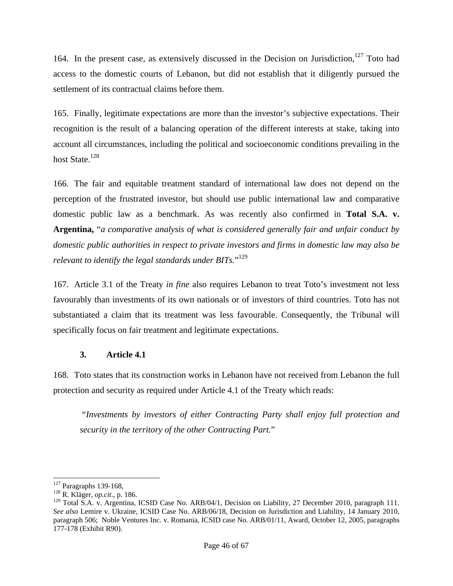164. In the present case, as extensively discussed in the Decision on Jurisdiction, $127$  Toto had access to the domestic courts of Lebanon, but did not establish that it diligently pursued the settlement of its contractual claims before them.

165. Finally, legitimate expectations are more than the investor's subjective expectations. Their recognition is the result of a balancing operation of the different interests at stake, taking into account all circumstances, including the political and socioeconomic conditions prevailing in the host State.<sup>128</sup>

166. The fair and equitable treatment standard of international law does not depend on the perception of the frustrated investor, but should use public international law and comparative domestic public law as a benchmark. As was recently also confirmed in **Total S.A. v. Argentina,** "*a comparative analysis of what is considered generally fair and unfair conduct by domestic public authorities in respect to private investors and firms in domestic law may also be relevant to identify the legal standards under BITs.*" 129

167. Article 3.1 of the Treaty *in fine* also requires Lebanon to treat Toto's investment not less favourably than investments of its own nationals or of investors of third countries. Toto has not substantiated a claim that its treatment was less favourable. Consequently, the Tribunal will specifically focus on fair treatment and legitimate expectations.

# **3. Article 4.1**

168. Toto states that its construction works in Lebanon have not received from Lebanon the full protection and security as required under Article 4.1 of the Treaty which reads:

"*Investments by investors of either Contracting Party shall enjoy full protection and security in the territory of the other Contracting Part.*"

 $127$  Paragraphs 139-168,

<sup>&</sup>lt;sup>128</sup> R. Kläger, *op.cit.*, p. 186.

<sup>&</sup>lt;sup>129</sup> Total S.A. v. Argentina, ICSID Case No. ARB/04/1, Decision on Liability, 27 December 2010, paragraph 111. *See also* Lemire v. Ukraine, ICSID Case No. ARB/06/18, Decision on Jurisdiction and Liability, 14 January 2010, paragraph 506; Noble Ventures Inc. v. Romania, ICSID case No. ARB/01/11, Award, October 12, 2005, paragraphs 177-178 (Exhibit R90).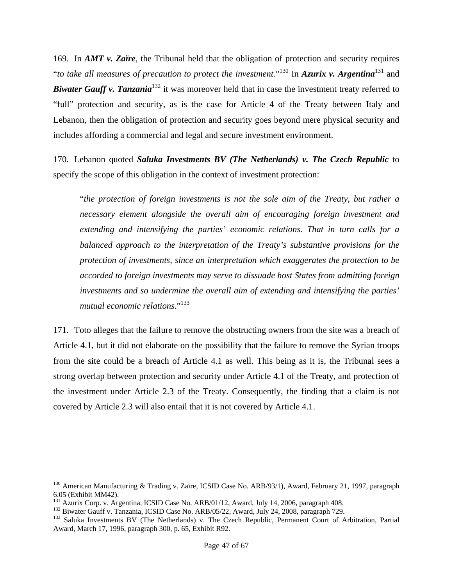169. In *AMT v. Zaïre*, the Tribunal held that the obligation of protection and security requires "*to take all measures of precaution to protect the investment.*" 130 In *Azurix v. Argentina*131 and **Biwater Gauff v. Tanzania**<sup>132</sup> it was moreover held that in case the investment treaty referred to "full" protection and security, as is the case for Article 4 of the Treaty between Italy and Lebanon, then the obligation of protection and security goes beyond mere physical security and includes affording a commercial and legal and secure investment environment.

170. Lebanon quoted *Saluka Investments BV (The Netherlands) v. The Czech Republic* to specify the scope of this obligation in the context of investment protection:

"*the protection of foreign investments is not the sole aim of the Treaty, but rather a necessary element alongside the overall aim of encouraging foreign investment and extending and intensifying the parties' economic relations. That in turn calls for a balanced approach to the interpretation of the Treaty's substantive provisions for the protection of investments, since an interpretation which exaggerates the protection to be accorded to foreign investments may serve to dissuade host States from admitting foreign investments and so undermine the overall aim of extending and intensifying the parties' mutual economic relations*."<sup>133</sup>

171. Toto alleges that the failure to remove the obstructing owners from the site was a breach of Article 4.1, but it did not elaborate on the possibility that the failure to remove the Syrian troops from the site could be a breach of Article 4.1 as well. This being as it is, the Tribunal sees a strong overlap between protection and security under Article 4.1 of the Treaty, and protection of the investment under Article 2.3 of the Treaty. Consequently, the finding that a claim is not covered by Article 2.3 will also entail that it is not covered by Article 4.1.

<sup>&</sup>lt;sup>130</sup> American Manufacturing & Trading v. Zaïre, ICSID Case No. ARB/93/1), Award, February 21, 1997, paragraph 6.05 (Exhibit MM42).<br><sup>131</sup> Azurix Corp. v. Argentina, ICSID Case No. ARB/01/12, Award, July 14, 2006, paragraph 408.

<sup>&</sup>lt;sup>132</sup> Biwater Gauff v. Tanzania, ICSID Case No. ARB/05/22, Award, July 24, 2008, paragraph 729.<br><sup>133</sup> Saluka Investments BV (The Netherlands) v. The Czech Republic, Permanent Court of Arbitration, Partial Award, March 17, 1996, paragraph 300, p. 65, Exhibit R92.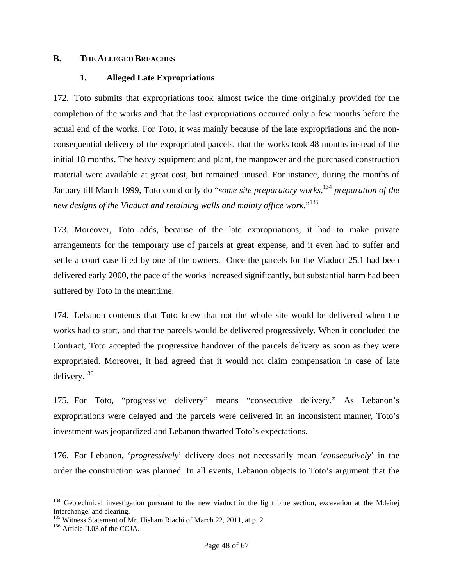#### **B. THE ALLEGED BREACHES**

#### **1. Alleged Late Expropriations**

172. Toto submits that expropriations took almost twice the time originally provided for the completion of the works and that the last expropriations occurred only a few months before the actual end of the works. For Toto, it was mainly because of the late expropriations and the nonconsequential delivery of the expropriated parcels, that the works took 48 months instead of the initial 18 months. The heavy equipment and plant, the manpower and the purchased construction material were available at great cost, but remained unused. For instance, during the months of January till March 1999, Toto could only do "*some site preparatory works*, <sup>134</sup> *preparation of the new designs of the Viaduct and retaining walls and mainly office work*."135

173. Moreover, Toto adds, because of the late expropriations, it had to make private arrangements for the temporary use of parcels at great expense, and it even had to suffer and settle a court case filed by one of the owners. Once the parcels for the Viaduct 25.1 had been delivered early 2000, the pace of the works increased significantly, but substantial harm had been suffered by Toto in the meantime.

174. Lebanon contends that Toto knew that not the whole site would be delivered when the works had to start, and that the parcels would be delivered progressively. When it concluded the Contract, Toto accepted the progressive handover of the parcels delivery as soon as they were expropriated. Moreover, it had agreed that it would not claim compensation in case of late delivery.136

175. For Toto, "progressive delivery" means "consecutive delivery." As Lebanon's expropriations were delayed and the parcels were delivered in an inconsistent manner, Toto's investment was jeopardized and Lebanon thwarted Toto's expectations.

176. For Lebanon, '*progressively*' delivery does not necessarily mean '*consecutively*' in the order the construction was planned. In all events, Lebanon objects to Toto's argument that the

 $134$  Geotechnical investigation pursuant to the new viaduct in the light blue section, excavation at the Mdeirej Interchange, and clearing.

<sup>&</sup>lt;sup>135</sup> Witness Statement of Mr. Hisham Riachi of March 22, 2011, at p. 2.<br><sup>136</sup> Article II.03 of the CCJA.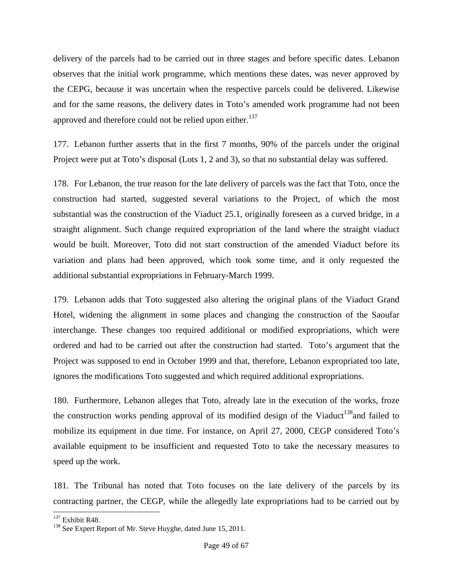delivery of the parcels had to be carried out in three stages and before specific dates. Lebanon observes that the initial work programme, which mentions these dates, was never approved by the CEPG, because it was uncertain when the respective parcels could be delivered. Likewise and for the same reasons, the delivery dates in Toto's amended work programme had not been approved and therefore could not be relied upon either.<sup>137</sup>

177. Lebanon further asserts that in the first 7 months, 90% of the parcels under the original Project were put at Toto's disposal (Lots 1, 2 and 3), so that no substantial delay was suffered.

178. For Lebanon, the true reason for the late delivery of parcels was the fact that Toto, once the construction had started, suggested several variations to the Project, of which the most substantial was the construction of the Viaduct 25.1, originally foreseen as a curved bridge, in a straight alignment. Such change required expropriation of the land where the straight viaduct would be built. Moreover, Toto did not start construction of the amended Viaduct before its variation and plans had been approved, which took some time, and it only requested the additional substantial expropriations in February-March 1999.

179. Lebanon adds that Toto suggested also altering the original plans of the Viaduct Grand Hotel, widening the alignment in some places and changing the construction of the Saoufar interchange. These changes too required additional or modified expropriations, which were ordered and had to be carried out after the construction had started. Toto's argument that the Project was supposed to end in October 1999 and that, therefore, Lebanon expropriated too late, ignores the modifications Toto suggested and which required additional expropriations.

180. Furthermore, Lebanon alleges that Toto, already late in the execution of the works, froze the construction works pending approval of its modified design of the Viaduct<sup>138</sup> and failed to mobilize its equipment in due time. For instance, on April 27, 2000, CEGP considered Toto's available equipment to be insufficient and requested Toto to take the necessary measures to speed up the work.

181. The Tribunal has noted that Toto focuses on the late delivery of the parcels by its contracting partner, the CEGP, while the allegedly late expropriations had to be carried out by

<sup>&</sup>lt;sup>137</sup> Exhibit R48.

<sup>&</sup>lt;sup>138</sup> See Expert Report of Mr. Steve Huyghe, dated June 15, 2011.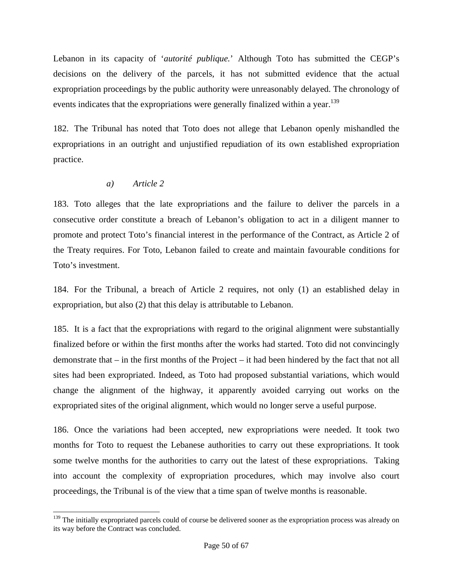Lebanon in its capacity of '*autorité publique.*' Although Toto has submitted the CEGP's decisions on the delivery of the parcels, it has not submitted evidence that the actual expropriation proceedings by the public authority were unreasonably delayed. The chronology of events indicates that the expropriations were generally finalized within a year.<sup>139</sup>

182. The Tribunal has noted that Toto does not allege that Lebanon openly mishandled the expropriations in an outright and unjustified repudiation of its own established expropriation practice.

# *a) Article 2*

l

183. Toto alleges that the late expropriations and the failure to deliver the parcels in a consecutive order constitute a breach of Lebanon's obligation to act in a diligent manner to promote and protect Toto's financial interest in the performance of the Contract, as Article 2 of the Treaty requires. For Toto, Lebanon failed to create and maintain favourable conditions for Toto's investment.

184. For the Tribunal, a breach of Article 2 requires, not only (1) an established delay in expropriation, but also (2) that this delay is attributable to Lebanon.

185. It is a fact that the expropriations with regard to the original alignment were substantially finalized before or within the first months after the works had started. Toto did not convincingly demonstrate that – in the first months of the Project – it had been hindered by the fact that not all sites had been expropriated. Indeed, as Toto had proposed substantial variations, which would change the alignment of the highway, it apparently avoided carrying out works on the expropriated sites of the original alignment, which would no longer serve a useful purpose.

186. Once the variations had been accepted, new expropriations were needed. It took two months for Toto to request the Lebanese authorities to carry out these expropriations. It took some twelve months for the authorities to carry out the latest of these expropriations. Taking into account the complexity of expropriation procedures, which may involve also court proceedings, the Tribunal is of the view that a time span of twelve months is reasonable.

<sup>&</sup>lt;sup>139</sup> The initially expropriated parcels could of course be delivered sooner as the expropriation process was already on its way before the Contract was concluded.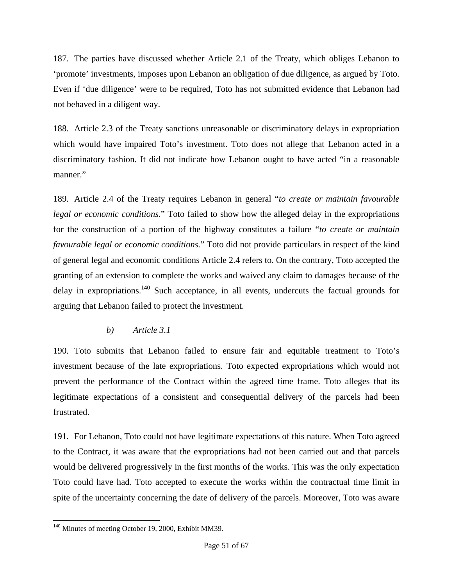187. The parties have discussed whether Article 2.1 of the Treaty, which obliges Lebanon to 'promote' investments, imposes upon Lebanon an obligation of due diligence, as argued by Toto. Even if 'due diligence' were to be required, Toto has not submitted evidence that Lebanon had not behaved in a diligent way.

188. Article 2.3 of the Treaty sanctions unreasonable or discriminatory delays in expropriation which would have impaired Toto's investment. Toto does not allege that Lebanon acted in a discriminatory fashion. It did not indicate how Lebanon ought to have acted "in a reasonable manner."

189. Article 2.4 of the Treaty requires Lebanon in general "*to create or maintain favourable legal or economic conditions.*" Toto failed to show how the alleged delay in the expropriations for the construction of a portion of the highway constitutes a failure "*to create or maintain favourable legal or economic conditions.*" Toto did not provide particulars in respect of the kind of general legal and economic conditions Article 2.4 refers to. On the contrary, Toto accepted the granting of an extension to complete the works and waived any claim to damages because of the delay in expropriations.<sup>140</sup> Such acceptance, in all events, undercuts the factual grounds for arguing that Lebanon failed to protect the investment.

# *b) Article 3.1*

190. Toto submits that Lebanon failed to ensure fair and equitable treatment to Toto's investment because of the late expropriations. Toto expected expropriations which would not prevent the performance of the Contract within the agreed time frame. Toto alleges that its legitimate expectations of a consistent and consequential delivery of the parcels had been frustrated.

191. For Lebanon, Toto could not have legitimate expectations of this nature. When Toto agreed to the Contract, it was aware that the expropriations had not been carried out and that parcels would be delivered progressively in the first months of the works. This was the only expectation Toto could have had. Toto accepted to execute the works within the contractual time limit in spite of the uncertainty concerning the date of delivery of the parcels. Moreover, Toto was aware

l <sup>140</sup> Minutes of meeting October 19, 2000, Exhibit MM39.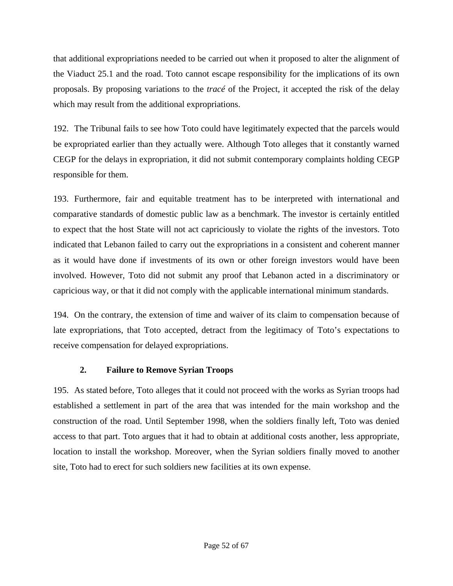that additional expropriations needed to be carried out when it proposed to alter the alignment of the Viaduct 25.1 and the road. Toto cannot escape responsibility for the implications of its own proposals. By proposing variations to the *tracé* of the Project, it accepted the risk of the delay which may result from the additional expropriations.

192. The Tribunal fails to see how Toto could have legitimately expected that the parcels would be expropriated earlier than they actually were. Although Toto alleges that it constantly warned CEGP for the delays in expropriation, it did not submit contemporary complaints holding CEGP responsible for them.

193. Furthermore, fair and equitable treatment has to be interpreted with international and comparative standards of domestic public law as a benchmark. The investor is certainly entitled to expect that the host State will not act capriciously to violate the rights of the investors. Toto indicated that Lebanon failed to carry out the expropriations in a consistent and coherent manner as it would have done if investments of its own or other foreign investors would have been involved. However, Toto did not submit any proof that Lebanon acted in a discriminatory or capricious way, or that it did not comply with the applicable international minimum standards.

194. On the contrary, the extension of time and waiver of its claim to compensation because of late expropriations, that Toto accepted, detract from the legitimacy of Toto's expectations to receive compensation for delayed expropriations.

# **2. Failure to Remove Syrian Troops**

195. As stated before, Toto alleges that it could not proceed with the works as Syrian troops had established a settlement in part of the area that was intended for the main workshop and the construction of the road. Until September 1998, when the soldiers finally left, Toto was denied access to that part. Toto argues that it had to obtain at additional costs another, less appropriate, location to install the workshop. Moreover, when the Syrian soldiers finally moved to another site, Toto had to erect for such soldiers new facilities at its own expense.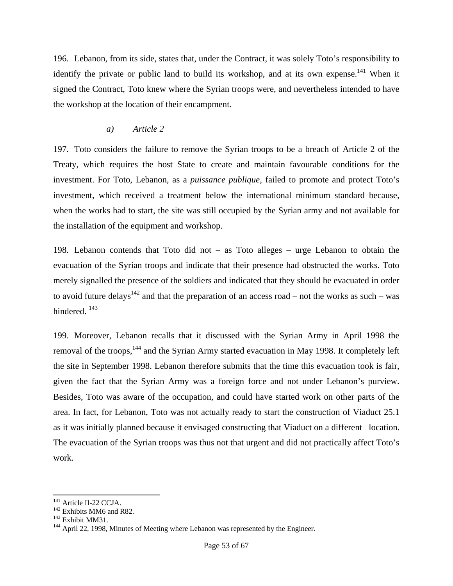196. Lebanon, from its side, states that, under the Contract, it was solely Toto's responsibility to identify the private or public land to build its workshop, and at its own expense.<sup>141</sup> When it signed the Contract, Toto knew where the Syrian troops were, and nevertheless intended to have the workshop at the location of their encampment.

#### *a) Article 2*

197. Toto considers the failure to remove the Syrian troops to be a breach of Article 2 of the Treaty, which requires the host State to create and maintain favourable conditions for the investment. For Toto, Lebanon, as a *puissance publique*, failed to promote and protect Toto's investment, which received a treatment below the international minimum standard because, when the works had to start, the site was still occupied by the Syrian army and not available for the installation of the equipment and workshop.

198. Lebanon contends that Toto did not – as Toto alleges – urge Lebanon to obtain the evacuation of the Syrian troops and indicate that their presence had obstructed the works. Toto merely signalled the presence of the soldiers and indicated that they should be evacuated in order to avoid future delays<sup>142</sup> and that the preparation of an access road – not the works as such – was hindered.<sup>143</sup>

199. Moreover, Lebanon recalls that it discussed with the Syrian Army in April 1998 the removal of the troops,<sup>144</sup> and the Syrian Army started evacuation in May 1998. It completely left the site in September 1998. Lebanon therefore submits that the time this evacuation took is fair, given the fact that the Syrian Army was a foreign force and not under Lebanon's purview. Besides, Toto was aware of the occupation, and could have started work on other parts of the area. In fact, for Lebanon, Toto was not actually ready to start the construction of Viaduct 25.1 as it was initially planned because it envisaged constructing that Viaduct on a different location. The evacuation of the Syrian troops was thus not that urgent and did not practically affect Toto's work.

<sup>&</sup>lt;sup>141</sup> Article II-22 CCJA.<br><sup>142</sup> Exhibits MM6 and R82.<br><sup>143</sup> Exhibit MM31.<br><sup>144</sup> April 22, 1998, Minutes of Meeting where Lebanon was represented by the Engineer.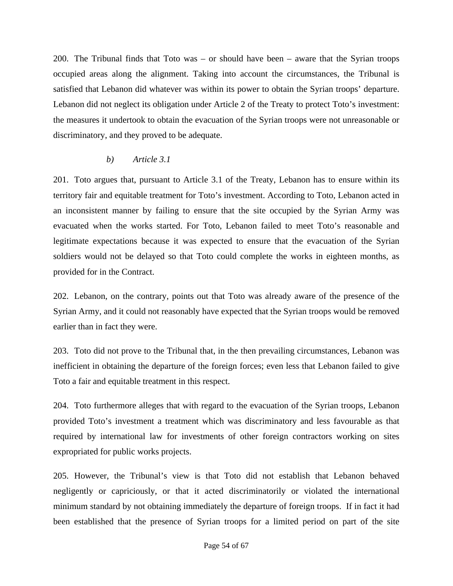200. The Tribunal finds that Toto was – or should have been – aware that the Syrian troops occupied areas along the alignment. Taking into account the circumstances, the Tribunal is satisfied that Lebanon did whatever was within its power to obtain the Syrian troops' departure. Lebanon did not neglect its obligation under Article 2 of the Treaty to protect Toto's investment: the measures it undertook to obtain the evacuation of the Syrian troops were not unreasonable or discriminatory, and they proved to be adequate.

# *b) Article 3.1*

201. Toto argues that, pursuant to Article 3.1 of the Treaty, Lebanon has to ensure within its territory fair and equitable treatment for Toto's investment. According to Toto, Lebanon acted in an inconsistent manner by failing to ensure that the site occupied by the Syrian Army was evacuated when the works started. For Toto, Lebanon failed to meet Toto's reasonable and legitimate expectations because it was expected to ensure that the evacuation of the Syrian soldiers would not be delayed so that Toto could complete the works in eighteen months, as provided for in the Contract.

202. Lebanon, on the contrary, points out that Toto was already aware of the presence of the Syrian Army, and it could not reasonably have expected that the Syrian troops would be removed earlier than in fact they were.

203. Toto did not prove to the Tribunal that, in the then prevailing circumstances, Lebanon was inefficient in obtaining the departure of the foreign forces; even less that Lebanon failed to give Toto a fair and equitable treatment in this respect.

204. Toto furthermore alleges that with regard to the evacuation of the Syrian troops, Lebanon provided Toto's investment a treatment which was discriminatory and less favourable as that required by international law for investments of other foreign contractors working on sites expropriated for public works projects.

205. However, the Tribunal's view is that Toto did not establish that Lebanon behaved negligently or capriciously, or that it acted discriminatorily or violated the international minimum standard by not obtaining immediately the departure of foreign troops. If in fact it had been established that the presence of Syrian troops for a limited period on part of the site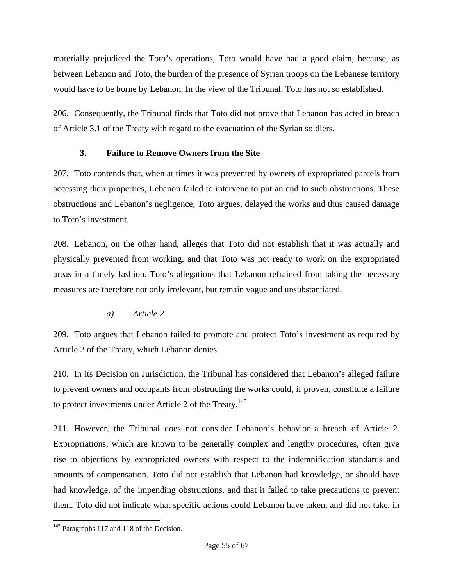materially prejudiced the Toto's operations, Toto would have had a good claim, because, as between Lebanon and Toto, the burden of the presence of Syrian troops on the Lebanese territory would have to be borne by Lebanon. In the view of the Tribunal, Toto has not so established.

206. Consequently, the Tribunal finds that Toto did not prove that Lebanon has acted in breach of Article 3.1 of the Treaty with regard to the evacuation of the Syrian soldiers.

# **3. Failure to Remove Owners from the Site**

207. Toto contends that, when at times it was prevented by owners of expropriated parcels from accessing their properties, Lebanon failed to intervene to put an end to such obstructions. These obstructions and Lebanon's negligence, Toto argues, delayed the works and thus caused damage to Toto's investment.

208. Lebanon, on the other hand, alleges that Toto did not establish that it was actually and physically prevented from working, and that Toto was not ready to work on the expropriated areas in a timely fashion. Toto's allegations that Lebanon refrained from taking the necessary measures are therefore not only irrelevant, but remain vague and unsubstantiated.

*a) Article 2* 

209. Toto argues that Lebanon failed to promote and protect Toto's investment as required by Article 2 of the Treaty, which Lebanon denies.

210. In its Decision on Jurisdiction, the Tribunal has considered that Lebanon's alleged failure to prevent owners and occupants from obstructing the works could, if proven, constitute a failure to protect investments under Article 2 of the Treaty.<sup>145</sup>

211. However, the Tribunal does not consider Lebanon's behavior a breach of Article 2. Expropriations, which are known to be generally complex and lengthy procedures, often give rise to objections by expropriated owners with respect to the indemnification standards and amounts of compensation. Toto did not establish that Lebanon had knowledge, or should have had knowledge, of the impending obstructions, and that it failed to take precautions to prevent them. Toto did not indicate what specific actions could Lebanon have taken, and did not take, in

l <sup>145</sup> Paragraphs 117 and 118 of the Decision.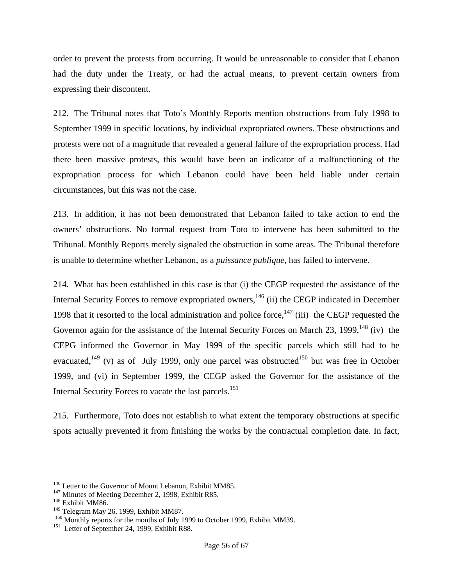order to prevent the protests from occurring. It would be unreasonable to consider that Lebanon had the duty under the Treaty, or had the actual means, to prevent certain owners from expressing their discontent.

212. The Tribunal notes that Toto's Monthly Reports mention obstructions from July 1998 to September 1999 in specific locations, by individual expropriated owners. These obstructions and protests were not of a magnitude that revealed a general failure of the expropriation process. Had there been massive protests, this would have been an indicator of a malfunctioning of the expropriation process for which Lebanon could have been held liable under certain circumstances, but this was not the case.

213. In addition, it has not been demonstrated that Lebanon failed to take action to end the owners' obstructions. No formal request from Toto to intervene has been submitted to the Tribunal. Monthly Reports merely signaled the obstruction in some areas. The Tribunal therefore is unable to determine whether Lebanon, as a *puissance publique*, has failed to intervene.

214. What has been established in this case is that (i) the CEGP requested the assistance of the Internal Security Forces to remove expropriated owners,<sup>146</sup> (ii) the CEGP indicated in December 1998 that it resorted to the local administration and police force,  $147$  (iii) the CEGP requested the Governor again for the assistance of the Internal Security Forces on March 23, 1999,  $^{148}$  (iv) the CEPG informed the Governor in May 1999 of the specific parcels which still had to be evacuated,<sup>149</sup> (v) as of July 1999, only one parcel was obstructed<sup>150</sup> but was free in October 1999, and (vi) in September 1999, the CEGP asked the Governor for the assistance of the Internal Security Forces to vacate the last parcels.<sup>151</sup>

215. Furthermore, Toto does not establish to what extent the temporary obstructions at specific spots actually prevented it from finishing the works by the contractual completion date. In fact,

<sup>&</sup>lt;sup>146</sup> Letter to the Governor of Mount Lebanon, Exhibit MM85.

<sup>&</sup>lt;sup>147</sup> Minutes of Meeting December 2, 1998, Exhibit R85.<br><sup>148</sup> Exhibit MM86.<br><sup>149</sup> Telegram May 26, 1999, Exhibit MM87.

<sup>&</sup>lt;sup>150</sup> Monthly reports for the months of July 1999 to October 1999, Exhibit MM39.<br><sup>151</sup> Letter of September 24, 1999, Exhibit R88.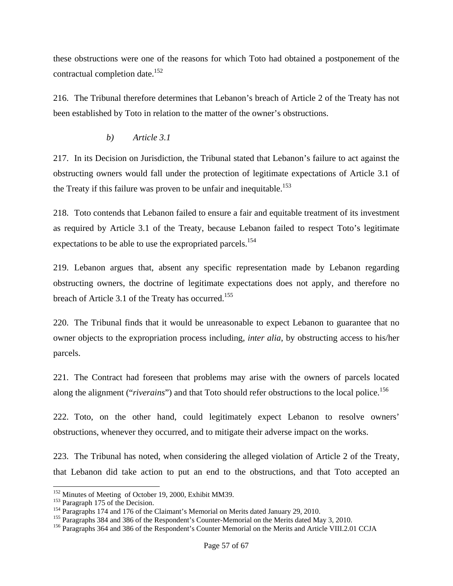these obstructions were one of the reasons for which Toto had obtained a postponement of the contractual completion date.<sup>152</sup>

216. The Tribunal therefore determines that Lebanon's breach of Article 2 of the Treaty has not been established by Toto in relation to the matter of the owner's obstructions.

#### *b) Article 3.1*

217. In its Decision on Jurisdiction, the Tribunal stated that Lebanon's failure to act against the obstructing owners would fall under the protection of legitimate expectations of Article 3.1 of the Treaty if this failure was proven to be unfair and inequitable.<sup>153</sup>

218. Toto contends that Lebanon failed to ensure a fair and equitable treatment of its investment as required by Article 3.1 of the Treaty, because Lebanon failed to respect Toto's legitimate expectations to be able to use the expropriated parcels.<sup>154</sup>

219. Lebanon argues that, absent any specific representation made by Lebanon regarding obstructing owners, the doctrine of legitimate expectations does not apply, and therefore no breach of Article 3.1 of the Treaty has occurred.<sup>155</sup>

220. The Tribunal finds that it would be unreasonable to expect Lebanon to guarantee that no owner objects to the expropriation process including, *inter alia*, by obstructing access to his/her parcels.

221. The Contract had foreseen that problems may arise with the owners of parcels located along the alignment ("*riverains*") and that Toto should refer obstructions to the local police.<sup>156</sup>

222. Toto, on the other hand, could legitimately expect Lebanon to resolve owners' obstructions, whenever they occurred, and to mitigate their adverse impact on the works.

223. The Tribunal has noted, when considering the alleged violation of Article 2 of the Treaty, that Lebanon did take action to put an end to the obstructions, and that Toto accepted an

<sup>&</sup>lt;sup>152</sup> Minutes of Meeting of October 19, 2000, Exhibit MM39.<br><sup>153</sup> Paragraph 175 of the Decision.<br><sup>154</sup> Paragraphs 174 and 176 of the Claimant's Memorial on Merits dated January 29, 2010.<br><sup>154</sup> Paragraphs 384 and 386 of th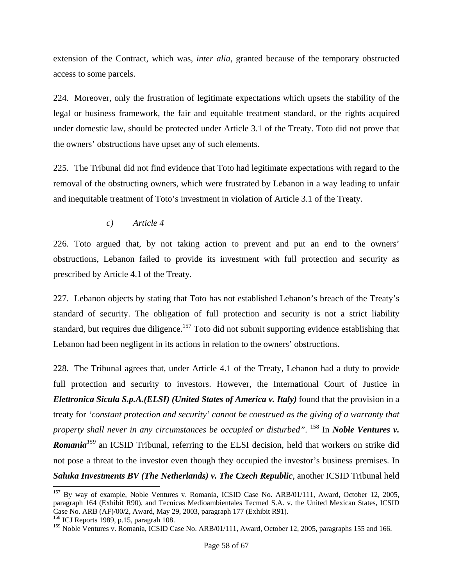extension of the Contract, which was, *inter alia*, granted because of the temporary obstructed access to some parcels.

224. Moreover, only the frustration of legitimate expectations which upsets the stability of the legal or business framework, the fair and equitable treatment standard, or the rights acquired under domestic law, should be protected under Article 3.1 of the Treaty. Toto did not prove that the owners' obstructions have upset any of such elements.

225. The Tribunal did not find evidence that Toto had legitimate expectations with regard to the removal of the obstructing owners, which were frustrated by Lebanon in a way leading to unfair and inequitable treatment of Toto's investment in violation of Article 3.1 of the Treaty.

*c) Article 4* 

226. Toto argued that, by not taking action to prevent and put an end to the owners' obstructions, Lebanon failed to provide its investment with full protection and security as prescribed by Article 4.1 of the Treaty*.*

227. Lebanon objects by stating that Toto has not established Lebanon's breach of the Treaty's standard of security. The obligation of full protection and security is not a strict liability standard, but requires due diligence.<sup>157</sup> Toto did not submit supporting evidence establishing that Lebanon had been negligent in its actions in relation to the owners' obstructions.

228. The Tribunal agrees that, under Article 4.1 of the Treaty, Lebanon had a duty to provide full protection and security to investors. However, the International Court of Justice in *Elettronica Sicula S.p.A.(ELSI) (United States of America v. Italy)* found that the provision in a treaty for *'constant protection and security' cannot be construed as the giving of a warranty that property shall never in any circumstances be occupied or disturbed".* <sup>158</sup> In *Noble Ventures v. Romania<sup>159</sup>* an ICSID Tribunal, referring to the ELSI decision, held that workers on strike did not pose a threat to the investor even though they occupied the investor's business premises. In **Saluka Investments BV (The Netherlands) v. The Czech Republic**, another ICSID Tribunal held

<sup>158</sup> ICJ Reports 1989, p.15, paragrah 108.

<sup>&</sup>lt;sup>157</sup> By way of example, Noble Ventures v. Romania, ICSID Case No. ARB/01/111, Award, October 12, 2005, paragraph 164 (Exhibit R90), and Tecnicas Medioambientales Tecmed S.A. v. the United Mexican States, ICSID Case No. ARB (AF)/00/2, Award, May 29, 2003, paragraph 177 (Exhibit R91).

<sup>&</sup>lt;sup>159</sup> Noble Ventures v. Romania, ICSID Case No. ARB/01/111, Award, October 12, 2005, paragraphs 155 and 166.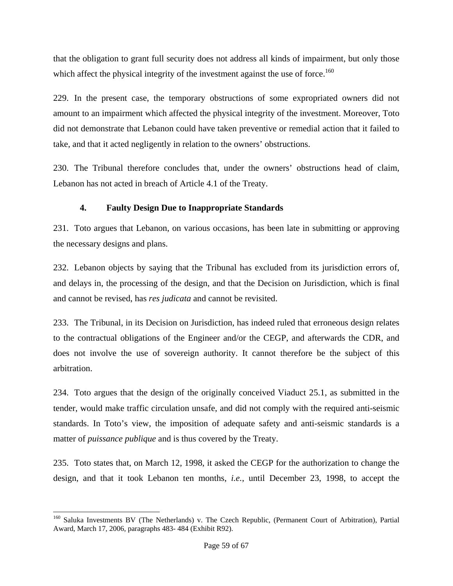that the obligation to grant full security does not address all kinds of impairment, but only those which affect the physical integrity of the investment against the use of force.<sup>160</sup>

229. In the present case, the temporary obstructions of some expropriated owners did not amount to an impairment which affected the physical integrity of the investment. Moreover, Toto did not demonstrate that Lebanon could have taken preventive or remedial action that it failed to take, and that it acted negligently in relation to the owners' obstructions.

230. The Tribunal therefore concludes that, under the owners' obstructions head of claim, Lebanon has not acted in breach of Article 4.1 of the Treaty.

# **4. Faulty Design Due to Inappropriate Standards**

231. Toto argues that Lebanon, on various occasions, has been late in submitting or approving the necessary designs and plans.

232. Lebanon objects by saying that the Tribunal has excluded from its jurisdiction errors of, and delays in, the processing of the design, and that the Decision on Jurisdiction, which is final and cannot be revised, has *res judicata* and cannot be revisited.

233. The Tribunal, in its Decision on Jurisdiction, has indeed ruled that erroneous design relates to the contractual obligations of the Engineer and/or the CEGP, and afterwards the CDR, and does not involve the use of sovereign authority. It cannot therefore be the subject of this arbitration.

234. Toto argues that the design of the originally conceived Viaduct 25.1, as submitted in the tender, would make traffic circulation unsafe, and did not comply with the required anti-seismic standards. In Toto's view, the imposition of adequate safety and anti-seismic standards is a matter of *puissance publique* and is thus covered by the Treaty.

235. Toto states that, on March 12, 1998, it asked the CEGP for the authorization to change the design, and that it took Lebanon ten months, *i.e.*, until December 23, 1998, to accept the

<sup>&</sup>lt;sup>160</sup> Saluka Investments BV (The Netherlands) v. The Czech Republic, (Permanent Court of Arbitration), Partial Award, March 17, 2006, paragraphs 483- 484 (Exhibit R92).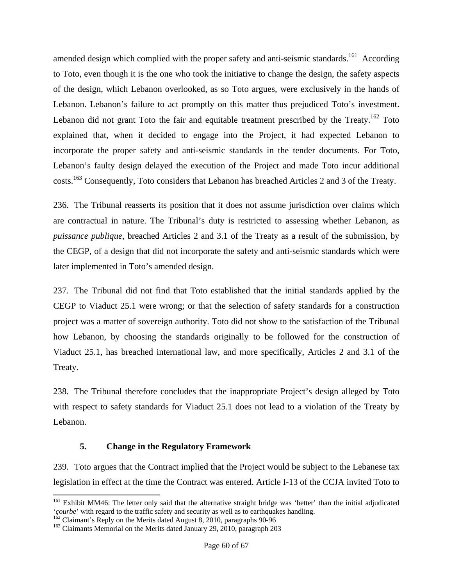amended design which complied with the proper safety and anti-seismic standards.<sup>161</sup> According to Toto, even though it is the one who took the initiative to change the design, the safety aspects of the design, which Lebanon overlooked, as so Toto argues, were exclusively in the hands of Lebanon. Lebanon's failure to act promptly on this matter thus prejudiced Toto's investment. Lebanon did not grant Toto the fair and equitable treatment prescribed by the Treaty.<sup>162</sup> Toto explained that, when it decided to engage into the Project, it had expected Lebanon to incorporate the proper safety and anti-seismic standards in the tender documents. For Toto, Lebanon's faulty design delayed the execution of the Project and made Toto incur additional costs.163 Consequently, Toto considers that Lebanon has breached Articles 2 and 3 of the Treaty.

236. The Tribunal reasserts its position that it does not assume jurisdiction over claims which are contractual in nature. The Tribunal's duty is restricted to assessing whether Lebanon, as *puissance publique*, breached Articles 2 and 3.1 of the Treaty as a result of the submission, by the CEGP, of a design that did not incorporate the safety and anti-seismic standards which were later implemented in Toto's amended design.

237. The Tribunal did not find that Toto established that the initial standards applied by the CEGP to Viaduct 25.1 were wrong; or that the selection of safety standards for a construction project was a matter of sovereign authority. Toto did not show to the satisfaction of the Tribunal how Lebanon, by choosing the standards originally to be followed for the construction of Viaduct 25.1, has breached international law, and more specifically, Articles 2 and 3.1 of the Treaty.

238. The Tribunal therefore concludes that the inappropriate Project's design alleged by Toto with respect to safety standards for Viaduct 25.1 does not lead to a violation of the Treaty by Lebanon.

# **5. Change in the Regulatory Framework**

239. Toto argues that the Contract implied that the Project would be subject to the Lebanese tax legislation in effect at the time the Contract was entered. Article I-13 of the CCJA invited Toto to

<sup>&</sup>lt;sup>161</sup> Exhibit MM46: The letter only said that the alternative straight bridge was 'better' than the initial adjudicated 'courbe' with regard to the traffic safety and security as well as to earthquakes handling.

<sup>&</sup>lt;sup>162</sup> Claimant's Reply on the Merits dated August 8, 2010, paragraphs 90-96<br><sup>163</sup> Claimants Memorial on the Merits dated January 29, 2010, paragraph 203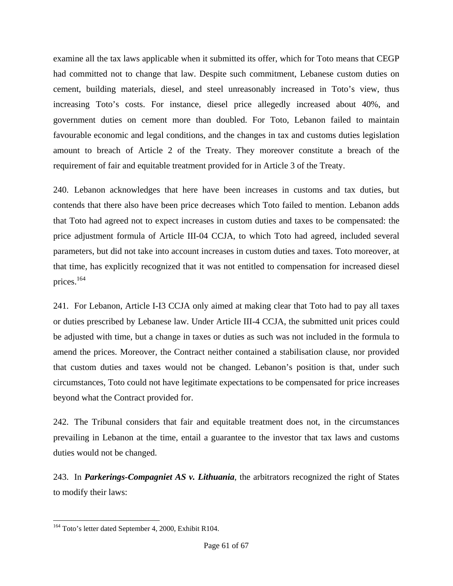examine all the tax laws applicable when it submitted its offer, which for Toto means that CEGP had committed not to change that law. Despite such commitment, Lebanese custom duties on cement, building materials, diesel, and steel unreasonably increased in Toto's view, thus increasing Toto's costs. For instance, diesel price allegedly increased about 40%, and government duties on cement more than doubled. For Toto, Lebanon failed to maintain favourable economic and legal conditions, and the changes in tax and customs duties legislation amount to breach of Article 2 of the Treaty. They moreover constitute a breach of the requirement of fair and equitable treatment provided for in Article 3 of the Treaty.

240. Lebanon acknowledges that here have been increases in customs and tax duties, but contends that there also have been price decreases which Toto failed to mention. Lebanon adds that Toto had agreed not to expect increases in custom duties and taxes to be compensated: the price adjustment formula of Article III-04 CCJA, to which Toto had agreed, included several parameters, but did not take into account increases in custom duties and taxes. Toto moreover, at that time, has explicitly recognized that it was not entitled to compensation for increased diesel prices.164

241. For Lebanon, Article I-I3 CCJA only aimed at making clear that Toto had to pay all taxes or duties prescribed by Lebanese law. Under Article III-4 CCJA, the submitted unit prices could be adjusted with time, but a change in taxes or duties as such was not included in the formula to amend the prices. Moreover, the Contract neither contained a stabilisation clause, nor provided that custom duties and taxes would not be changed. Lebanon's position is that, under such circumstances, Toto could not have legitimate expectations to be compensated for price increases beyond what the Contract provided for.

242. The Tribunal considers that fair and equitable treatment does not, in the circumstances prevailing in Lebanon at the time, entail a guarantee to the investor that tax laws and customs duties would not be changed.

243. In *Parkerings-Compagniet AS v. Lithuania*, the arbitrators recognized the right of States to modify their laws:

l <sup>164</sup> Toto's letter dated September 4, 2000, Exhibit R104.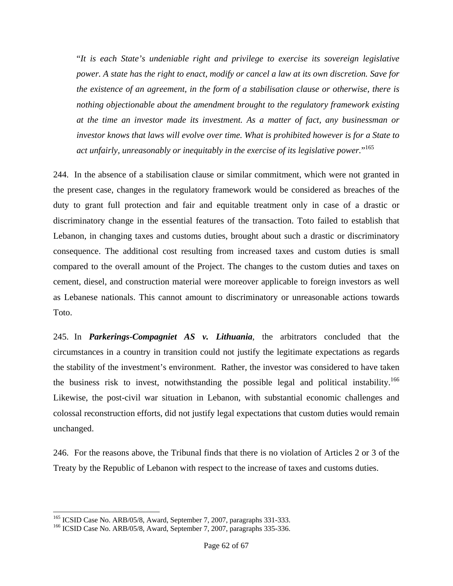"*It is each State's undeniable right and privilege to exercise its sovereign legislative power. A state has the right to enact, modify or cancel a law at its own discretion. Save for the existence of an agreement, in the form of a stabilisation clause or otherwise, there is nothing objectionable about the amendment brought to the regulatory framework existing at the time an investor made its investment. As a matter of fact, any businessman or investor knows that laws will evolve over time. What is prohibited however is for a State to act unfairly, unreasonably or inequitably in the exercise of its legislative power.*" 165

244. In the absence of a stabilisation clause or similar commitment, which were not granted in the present case, changes in the regulatory framework would be considered as breaches of the duty to grant full protection and fair and equitable treatment only in case of a drastic or discriminatory change in the essential features of the transaction. Toto failed to establish that Lebanon, in changing taxes and customs duties, brought about such a drastic or discriminatory consequence. The additional cost resulting from increased taxes and custom duties is small compared to the overall amount of the Project. The changes to the custom duties and taxes on cement, diesel, and construction material were moreover applicable to foreign investors as well as Lebanese nationals. This cannot amount to discriminatory or unreasonable actions towards Toto.

245. In *Parkerings-Compagniet AS v. Lithuania*, the arbitrators concluded that the circumstances in a country in transition could not justify the legitimate expectations as regards the stability of the investment's environment. Rather, the investor was considered to have taken the business risk to invest, notwithstanding the possible legal and political instability.<sup>166</sup> Likewise, the post-civil war situation in Lebanon, with substantial economic challenges and colossal reconstruction efforts, did not justify legal expectations that custom duties would remain unchanged.

246. For the reasons above, the Tribunal finds that there is no violation of Articles 2 or 3 of the Treaty by the Republic of Lebanon with respect to the increase of taxes and customs duties.

<sup>&</sup>lt;sup>165</sup> ICSID Case No. ARB/05/8, Award, September 7, 2007, paragraphs 331-333.<br><sup>166</sup> ICSID Case No. ARB/05/8, Award, September 7, 2007, paragraphs 335-336.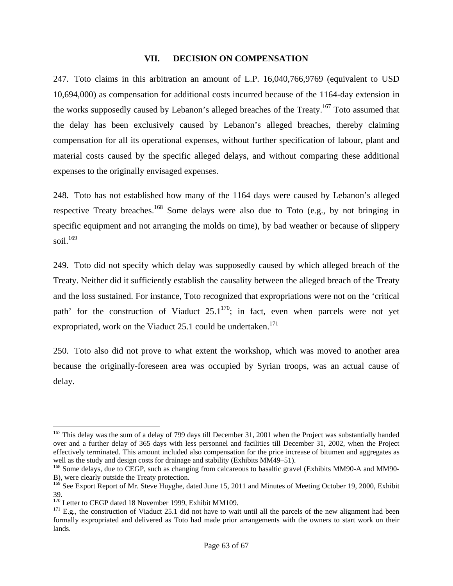#### **VII. DECISION ON COMPENSATION**

247. Toto claims in this arbitration an amount of L.P. 16,040,766,9769 (equivalent to USD 10,694,000) as compensation for additional costs incurred because of the 1164-day extension in the works supposedly caused by Lebanon's alleged breaches of the Treaty.<sup>167</sup> Toto assumed that the delay has been exclusively caused by Lebanon's alleged breaches, thereby claiming compensation for all its operational expenses, without further specification of labour, plant and material costs caused by the specific alleged delays, and without comparing these additional expenses to the originally envisaged expenses.

248. Toto has not established how many of the 1164 days were caused by Lebanon's alleged respective Treaty breaches.<sup>168</sup> Some delays were also due to Toto (e.g., by not bringing in specific equipment and not arranging the molds on time), by bad weather or because of slippery  $\rm{soil.}^{169}$ 

249. Toto did not specify which delay was supposedly caused by which alleged breach of the Treaty. Neither did it sufficiently establish the causality between the alleged breach of the Treaty and the loss sustained. For instance, Toto recognized that expropriations were not on the 'critical path' for the construction of Viaduct  $25.1^{170}$ ; in fact, even when parcels were not yet expropriated, work on the Viaduct 25.1 could be undertaken.<sup>171</sup>

250. Toto also did not prove to what extent the workshop, which was moved to another area because the originally-foreseen area was occupied by Syrian troops, was an actual cause of delay.

 $167$  This delay was the sum of a delay of 799 days till December 31, 2001 when the Project was substantially handed over and a further delay of 365 days with less personnel and facilities till December 31, 2002, when the Project effectively terminated. This amount included also compensation for the price increase of bitumen and aggregates as well as the study and design costs for drainage and stability (Exhibits MM49–51).

<sup>&</sup>lt;sup>168</sup> Some delays, due to CEGP, such as changing from calcareous to basaltic gravel (Exhibits MM90-A and MM90-B), were clearly outside the Treaty protection.

<sup>&</sup>lt;sup>169</sup> See Export Report of Mr. Steve Huyghe, dated June 15, 2011 and Minutes of Meeting October 19, 2000, Exhibit 39.<br> $170$  Letter to CEGP dated 18 November 1999, Exhibit MM109.

 $171$  E.g., the construction of Viaduct 25.1 did not have to wait until all the parcels of the new alignment had been formally expropriated and delivered as Toto had made prior arrangements with the owners to start work on their lands.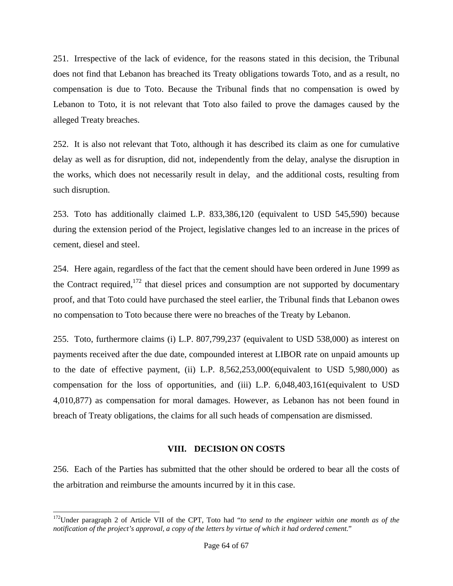251. Irrespective of the lack of evidence, for the reasons stated in this decision, the Tribunal does not find that Lebanon has breached its Treaty obligations towards Toto, and as a result, no compensation is due to Toto. Because the Tribunal finds that no compensation is owed by Lebanon to Toto, it is not relevant that Toto also failed to prove the damages caused by the alleged Treaty breaches.

252. It is also not relevant that Toto, although it has described its claim as one for cumulative delay as well as for disruption, did not, independently from the delay, analyse the disruption in the works, which does not necessarily result in delay, and the additional costs, resulting from such disruption.

253. Toto has additionally claimed L.P. 833,386,120 (equivalent to USD 545,590) because during the extension period of the Project, legislative changes led to an increase in the prices of cement, diesel and steel.

254. Here again, regardless of the fact that the cement should have been ordered in June 1999 as the Contract required,<sup>172</sup> that diesel prices and consumption are not supported by documentary proof, and that Toto could have purchased the steel earlier, the Tribunal finds that Lebanon owes no compensation to Toto because there were no breaches of the Treaty by Lebanon.

255. Toto, furthermore claims (i) L.P. 807,799,237 (equivalent to USD 538,000) as interest on payments received after the due date, compounded interest at LIBOR rate on unpaid amounts up to the date of effective payment, (ii) L.P. 8,562,253,000(equivalent to USD 5,980,000) as compensation for the loss of opportunities, and (iii) L.P. 6,048,403,161(equivalent to USD 4,010,877) as compensation for moral damages. However, as Lebanon has not been found in breach of Treaty obligations, the claims for all such heads of compensation are dismissed.

#### **VIII. DECISION ON COSTS**

256. Each of the Parties has submitted that the other should be ordered to bear all the costs of the arbitration and reimburse the amounts incurred by it in this case.

<sup>172</sup>Under paragraph 2 of Article VII of the CPT, Toto had "*to send to the engineer within one month as of the notification of the project's approval, a copy of the letters by virtue of which it had ordered cement.*"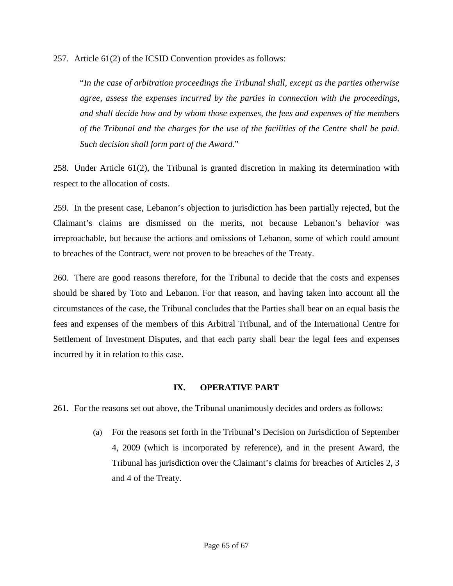257. Article 61(2) of the ICSID Convention provides as follows:

"*In the case of arbitration proceedings the Tribunal shall, except as the parties otherwise agree, assess the expenses incurred by the parties in connection with the proceedings, and shall decide how and by whom those expenses, the fees and expenses of the members of the Tribunal and the charges for the use of the facilities of the Centre shall be paid. Such decision shall form part of the Award.*"

258. Under Article 61(2), the Tribunal is granted discretion in making its determination with respect to the allocation of costs.

259. In the present case, Lebanon's objection to jurisdiction has been partially rejected, but the Claimant's claims are dismissed on the merits, not because Lebanon's behavior was irreproachable, but because the actions and omissions of Lebanon, some of which could amount to breaches of the Contract, were not proven to be breaches of the Treaty.

260. There are good reasons therefore, for the Tribunal to decide that the costs and expenses should be shared by Toto and Lebanon. For that reason, and having taken into account all the circumstances of the case, the Tribunal concludes that the Parties shall bear on an equal basis the fees and expenses of the members of this Arbitral Tribunal, and of the International Centre for Settlement of Investment Disputes, and that each party shall bear the legal fees and expenses incurred by it in relation to this case.

# **IX. OPERATIVE PART**

261. For the reasons set out above, the Tribunal unanimously decides and orders as follows:

(a) For the reasons set forth in the Tribunal's Decision on Jurisdiction of September 4, 2009 (which is incorporated by reference), and in the present Award, the Tribunal has jurisdiction over the Claimant's claims for breaches of Articles 2, 3 and 4 of the Treaty.